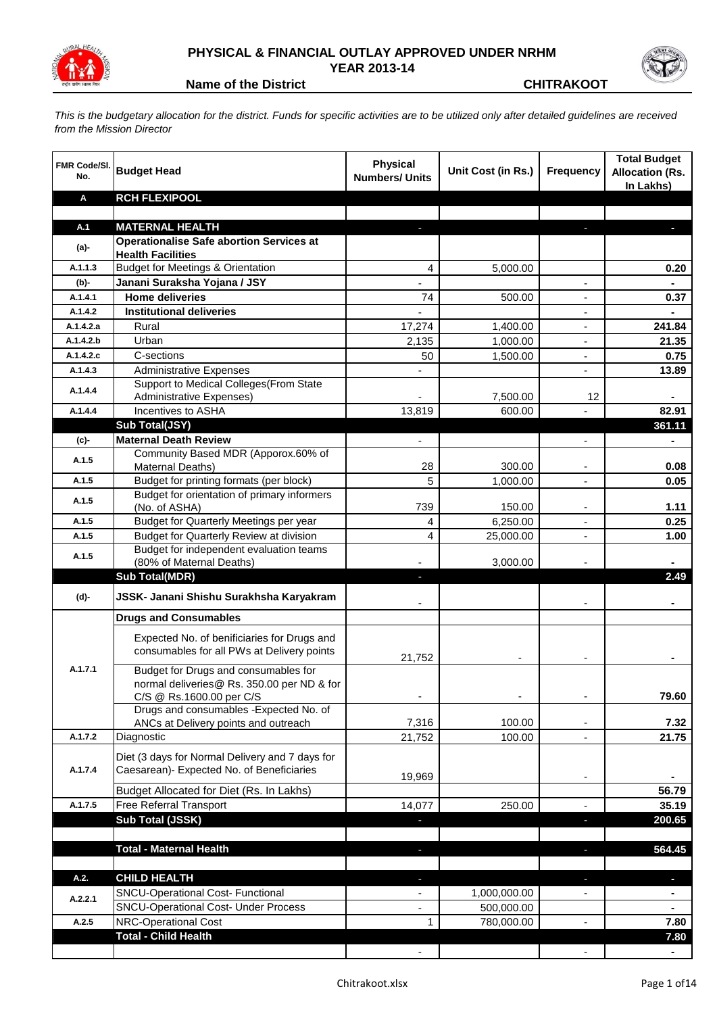

## **PHYSICAL & FINANCIAL OUTLAY APPROVED UNDER NRHM YEAR 2013-14**



**Name of the District CHITRAKOOT** 

*This is the budgetary allocation for the district. Funds for specific activities are to be utilized only after detailed guidelines are received from the Mission Director*

| <b>Budget Head</b><br>Unit Cost (in Rs.)<br><b>Frequency</b><br>No.<br><b>Numbers/ Units</b>                                                                               | <b>Allocation (Rs.</b><br>In Lakhs) |
|----------------------------------------------------------------------------------------------------------------------------------------------------------------------------|-------------------------------------|
| <b>RCH FLEXIPOOL</b><br>Α                                                                                                                                                  |                                     |
|                                                                                                                                                                            |                                     |
| A.1<br><b>MATERNAL HEALTH</b><br>J,<br>E.                                                                                                                                  |                                     |
| <b>Operationalise Safe abortion Services at</b><br>(a)-                                                                                                                    |                                     |
| <b>Health Facilities</b><br><b>Budget for Meetings &amp; Orientation</b><br>A.1.1.3<br>4<br>5,000.00                                                                       | 0.20                                |
| Janani Suraksha Yojana / JSY<br>(b)-                                                                                                                                       |                                     |
| <b>Home deliveries</b><br>A.1.4.1<br>74<br>500.00                                                                                                                          | 0.37                                |
| <b>Institutional deliveries</b><br>A.1.4.2<br>$\blacksquare$                                                                                                               |                                     |
| Rural<br>A.1.4.2.a<br>17,274<br>1,400.00<br>$\blacksquare$                                                                                                                 | 241.84                              |
| A.1.4.2.b<br>Urban<br>2,135<br>1,000.00<br>$\overline{a}$                                                                                                                  | 21.35                               |
| A.1.4.2.c<br>C-sections<br>50<br>1,500.00<br>$\overline{a}$                                                                                                                | 0.75                                |
| <b>Administrative Expenses</b><br>A.1.4.3<br>$\overline{a}$                                                                                                                | 13.89                               |
| Support to Medical Colleges (From State                                                                                                                                    |                                     |
| A.1.4.4<br><b>Administrative Expenses)</b><br>7,500.00<br>12                                                                                                               |                                     |
| Incentives to ASHA<br>600.00<br>A.1.4.4<br>13,819                                                                                                                          | 82.91                               |
| Sub Total(JSY)                                                                                                                                                             | 361.11                              |
| <b>Maternal Death Review</b><br>(c)-                                                                                                                                       |                                     |
| Community Based MDR (Apporox.60% of<br>A.1.5                                                                                                                               |                                     |
| Maternal Deaths)<br>28<br>300.00                                                                                                                                           | 0.08                                |
| 5<br>Budget for printing formats (per block)<br>A.1.5<br>1,000.00                                                                                                          | 0.05                                |
| Budget for orientation of primary informers<br>A.1.5<br>739<br>150.00<br>(No. of ASHA)                                                                                     | 1.11                                |
| A.1.5<br>Budget for Quarterly Meetings per year<br>6,250.00<br>4<br>$\blacksquare$                                                                                         | 0.25                                |
| Budget for Quarterly Review at division<br>4<br>25,000.00<br>A.1.5                                                                                                         | 1.00                                |
| Budget for independent evaluation teams                                                                                                                                    |                                     |
| A.1.5<br>3,000.00<br>(80% of Maternal Deaths)                                                                                                                              |                                     |
| <b>Sub Total(MDR)</b>                                                                                                                                                      | 2.49                                |
| JSSK- Janani Shishu Surakhsha Karyakram<br>(d)-                                                                                                                            |                                     |
| <b>Drugs and Consumables</b>                                                                                                                                               |                                     |
| Expected No. of benificiaries for Drugs and<br>consumables for all PWs at Delivery points<br>21,752                                                                        |                                     |
| A.1.7.1<br>Budget for Drugs and consumables for<br>normal deliveries@ Rs. 350.00 per ND & for<br>C/S @ Rs.1600.00 per C/S                                                  | 79.60                               |
| Drugs and consumables - Expected No. of                                                                                                                                    |                                     |
| 100.00<br>ANCs at Delivery points and outreach<br>7,316                                                                                                                    | 7.32                                |
| A.1.7.2<br>Diagnostic<br>21,752<br>100.00                                                                                                                                  | 21.75                               |
| Diet (3 days for Normal Delivery and 7 days for                                                                                                                            |                                     |
| Caesarean)- Expected No. of Beneficiaries<br>A.1.7.4                                                                                                                       |                                     |
| 19,969                                                                                                                                                                     |                                     |
| Budget Allocated for Diet (Rs. In Lakhs)                                                                                                                                   | 56.79                               |
| A.1.7.5<br>Free Referral Transport<br>250.00<br>14,077                                                                                                                     | 35.19                               |
| Sub Total (JSSK)<br>$\overline{\phantom{a}}$<br>J                                                                                                                          | 200.65                              |
|                                                                                                                                                                            |                                     |
| <b>Total - Maternal Health</b><br>ı                                                                                                                                        | 564.45                              |
|                                                                                                                                                                            |                                     |
| <b>CHILD HEALTH</b><br>A.2.<br>٠<br>٠                                                                                                                                      | $\blacksquare$                      |
| <b>SNCU-Operational Cost- Functional</b><br>1,000,000.00<br>$\overline{\phantom{a}}$<br>$\overline{\phantom{a}}$<br>A.2.2.1<br><b>SNCU-Operational Cost- Under Process</b> | $\blacksquare$                      |
| 500,000.00<br>۰<br>NRC-Operational Cost<br>A.2.5                                                                                                                           | $\blacksquare$                      |
| 780,000.00<br>1<br>$\overline{\phantom{a}}$<br><b>Total - Child Health</b>                                                                                                 | 7.80<br>7.80                        |
|                                                                                                                                                                            | $\blacksquare$                      |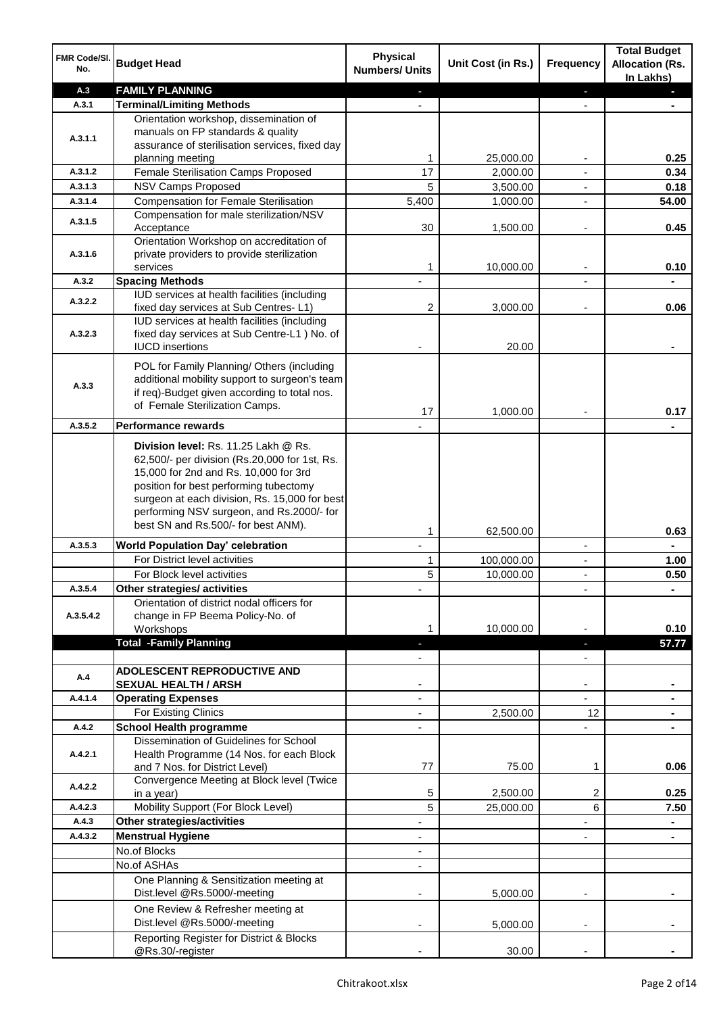| FMR Code/SI.<br>No. | <b>Budget Head</b>                                                                            | <b>Physical</b><br><b>Numbers/ Units</b> | Unit Cost (in Rs.) | Frequency                | <b>Total Budget</b><br><b>Allocation (Rs.</b><br>In Lakhs) |
|---------------------|-----------------------------------------------------------------------------------------------|------------------------------------------|--------------------|--------------------------|------------------------------------------------------------|
| A.3                 | <b>FAMILY PLANNING</b>                                                                        |                                          |                    |                          |                                                            |
| A.3.1               | <b>Terminal/Limiting Methods</b>                                                              |                                          |                    |                          |                                                            |
|                     | Orientation workshop, dissemination of                                                        |                                          |                    |                          |                                                            |
| A.3.1.1             | manuals on FP standards & quality                                                             |                                          |                    |                          |                                                            |
|                     | assurance of sterilisation services, fixed day                                                |                                          |                    |                          |                                                            |
|                     | planning meeting<br>Female Sterilisation Camps Proposed                                       | 1<br>17                                  | 25,000.00          |                          | 0.25                                                       |
| A.3.1.2<br>A.3.1.3  | <b>NSV Camps Proposed</b>                                                                     |                                          | 2,000.00           |                          | 0.34                                                       |
| A.3.1.4             | <b>Compensation for Female Sterilisation</b>                                                  | 5<br>5,400                               | 3,500.00           | $\blacksquare$           | 0.18                                                       |
|                     | Compensation for male sterilization/NSV                                                       |                                          | 1,000.00           | $\blacksquare$           | 54.00                                                      |
| A.3.1.5             | Acceptance                                                                                    | 30                                       | 1,500.00           | $\overline{a}$           | 0.45                                                       |
|                     | Orientation Workshop on accreditation of                                                      |                                          |                    |                          |                                                            |
| A.3.1.6             | private providers to provide sterilization                                                    |                                          |                    |                          |                                                            |
|                     | services                                                                                      | 1                                        | 10,000.00          | $\blacksquare$           | 0.10                                                       |
| A.3.2               | <b>Spacing Methods</b>                                                                        |                                          |                    |                          |                                                            |
| A.3.2.2             | IUD services at health facilities (including                                                  |                                          |                    |                          |                                                            |
|                     | fixed day services at Sub Centres-L1)                                                         | 2                                        | 3,000.00           |                          | 0.06                                                       |
| A.3.2.3             | IUD services at health facilities (including<br>fixed day services at Sub Centre-L1 ) No. of  |                                          |                    |                          |                                                            |
|                     | <b>IUCD</b> insertions                                                                        |                                          | 20.00              |                          |                                                            |
|                     |                                                                                               |                                          |                    |                          |                                                            |
|                     | POL for Family Planning/ Others (including                                                    |                                          |                    |                          |                                                            |
| A.3.3               | additional mobility support to surgeon's team<br>if req)-Budget given according to total nos. |                                          |                    |                          |                                                            |
|                     | of Female Sterilization Camps.                                                                |                                          |                    |                          |                                                            |
|                     |                                                                                               | 17                                       | 1,000.00           |                          | 0.17                                                       |
| A.3.5.2             | <b>Performance rewards</b>                                                                    |                                          |                    |                          |                                                            |
|                     | Division level: Rs. 11.25 Lakh @ Rs.                                                          |                                          |                    |                          |                                                            |
|                     | 62,500/- per division (Rs.20,000 for 1st, Rs.                                                 |                                          |                    |                          |                                                            |
|                     | 15,000 for 2nd and Rs. 10,000 for 3rd                                                         |                                          |                    |                          |                                                            |
|                     | position for best performing tubectomy<br>surgeon at each division, Rs. 15,000 for best       |                                          |                    |                          |                                                            |
|                     | performing NSV surgeon, and Rs.2000/- for                                                     |                                          |                    |                          |                                                            |
|                     | best SN and Rs.500/- for best ANM).                                                           |                                          |                    |                          |                                                            |
|                     |                                                                                               | 1                                        | 62,500.00          |                          | 0.63                                                       |
| A.3.5.3             | <b>World Population Day' celebration</b><br>For District level activities                     | $\mathbf{r}$                             |                    | $\blacksquare$           |                                                            |
|                     |                                                                                               | 1                                        | 100,000.00         | $\overline{\phantom{a}}$ | 1.00                                                       |
| A.3.5.4             | For Block level activities<br>Other strategies/ activities                                    | 5                                        | 10,000.00          | $\blacksquare$           | 0.50                                                       |
|                     | Orientation of district nodal officers for                                                    |                                          |                    |                          |                                                            |
| A.3.5.4.2           | change in FP Beema Policy-No. of                                                              |                                          |                    |                          |                                                            |
|                     | Workshops                                                                                     |                                          | 10,000.00          |                          | 0.10                                                       |
|                     | <b>Total -Family Planning</b>                                                                 |                                          |                    |                          | 57.77                                                      |
|                     |                                                                                               |                                          |                    |                          |                                                            |
| A.4                 | <b>ADOLESCENT REPRODUCTIVE AND</b>                                                            |                                          |                    |                          |                                                            |
|                     | <b>SEXUAL HEALTH / ARSH</b>                                                                   |                                          |                    |                          |                                                            |
| A.4.1.4             | <b>Operating Expenses</b>                                                                     |                                          |                    |                          |                                                            |
|                     | For Existing Clinics                                                                          |                                          | 2,500.00           | 12                       |                                                            |
| A.4.2               | <b>School Health programme</b>                                                                |                                          |                    |                          |                                                            |
| A.4.2.1             | Dissemination of Guidelines for School<br>Health Programme (14 Nos. for each Block            |                                          |                    |                          |                                                            |
|                     | and 7 Nos. for District Level)                                                                | 77                                       | 75.00              | 1                        | 0.06                                                       |
|                     | Convergence Meeting at Block level (Twice                                                     |                                          |                    |                          |                                                            |
| A.4.2.2             | in a year)                                                                                    | 5                                        | 2,500.00           | 2                        | 0.25                                                       |
| A.4.2.3             | Mobility Support (For Block Level)                                                            | 5                                        | 25,000.00          | 6                        | 7.50                                                       |
| A.4.3               | <b>Other strategies/activities</b>                                                            |                                          |                    |                          |                                                            |
| A.4.3.2             | <b>Menstrual Hygiene</b>                                                                      |                                          |                    |                          |                                                            |
|                     | No.of Blocks                                                                                  |                                          |                    |                          |                                                            |
|                     | No.of ASHAs                                                                                   |                                          |                    |                          |                                                            |
|                     | One Planning & Sensitization meeting at                                                       |                                          |                    |                          |                                                            |
|                     | Dist.level @Rs.5000/-meeting                                                                  |                                          | 5,000.00           |                          |                                                            |
|                     | One Review & Refresher meeting at                                                             |                                          |                    |                          |                                                            |
|                     | Dist.level @Rs.5000/-meeting                                                                  |                                          | 5,000.00           |                          |                                                            |
|                     | Reporting Register for District & Blocks                                                      |                                          |                    |                          |                                                            |
|                     | @Rs.30/-register                                                                              |                                          | 30.00              |                          |                                                            |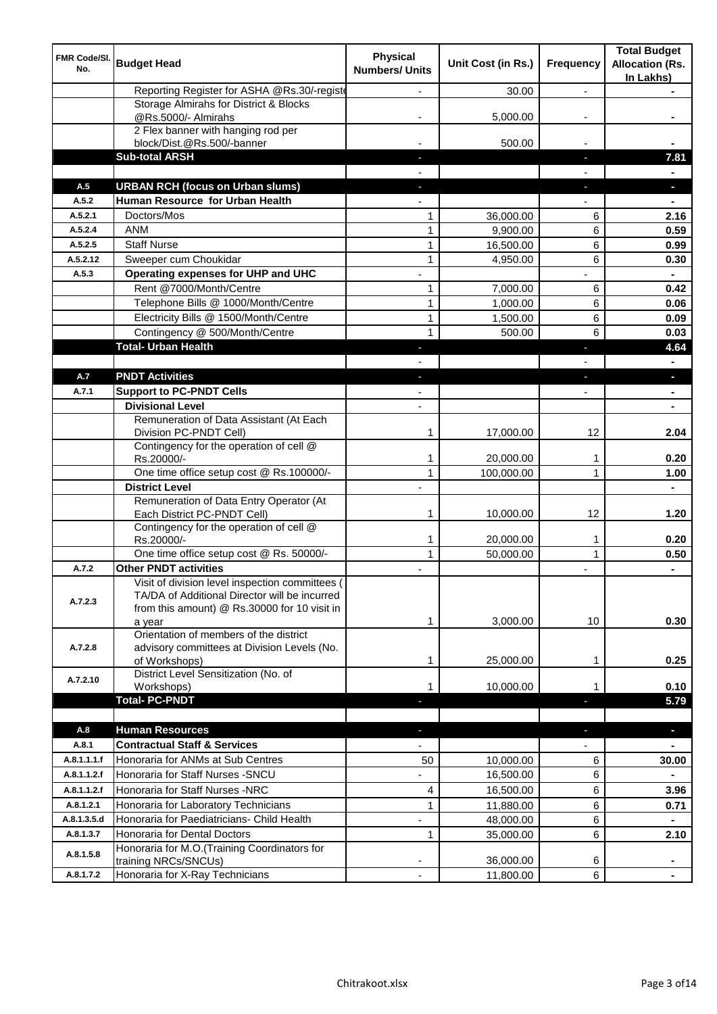| FMR Code/SI.<br>No. | <b>Budget Head</b>                                                                                                                                         | <b>Physical</b><br><b>Numbers/ Units</b> | Unit Cost (in Rs.)     | Frequency                | <b>Total Budget</b><br><b>Allocation (Rs.</b><br>In Lakhs) |
|---------------------|------------------------------------------------------------------------------------------------------------------------------------------------------------|------------------------------------------|------------------------|--------------------------|------------------------------------------------------------|
|                     | Reporting Register for ASHA @Rs.30/-registe                                                                                                                |                                          | 30.00                  | $\overline{a}$           |                                                            |
|                     | Storage Almirahs for District & Blocks<br>@Rs.5000/- Almirahs                                                                                              |                                          | 5,000.00               |                          |                                                            |
|                     | 2 Flex banner with hanging rod per                                                                                                                         |                                          |                        |                          |                                                            |
|                     | block/Dist.@Rs.500/-banner                                                                                                                                 |                                          | 500.00                 |                          |                                                            |
|                     | <b>Sub-total ARSH</b>                                                                                                                                      |                                          |                        | J,                       | 7.81                                                       |
|                     |                                                                                                                                                            |                                          |                        |                          |                                                            |
| A.5                 | <b>URBAN RCH (focus on Urban slums)</b>                                                                                                                    |                                          |                        | r.                       |                                                            |
| A.5.2               | Human Resource for Urban Health                                                                                                                            |                                          |                        |                          |                                                            |
| A.5.2.1             | Doctors/Mos                                                                                                                                                | 1                                        | 36,000.00              | 6                        | 2.16                                                       |
| A.5.2.4             | <b>ANM</b>                                                                                                                                                 | $\mathbf{1}$                             | 9,900.00               | 6                        | 0.59                                                       |
| A.5.2.5             | <b>Staff Nurse</b>                                                                                                                                         | $\mathbf{1}$                             | 16,500.00              | 6                        | 0.99                                                       |
| A.5.2.12            | Sweeper cum Choukidar                                                                                                                                      | 1                                        | 4,950.00               | 6                        | 0.30                                                       |
| A.5.3               | Operating expenses for UHP and UHC                                                                                                                         |                                          |                        |                          |                                                            |
|                     | Rent @7000/Month/Centre                                                                                                                                    | 1                                        | 7,000.00               | 6                        | 0.42                                                       |
|                     | Telephone Bills @ 1000/Month/Centre                                                                                                                        | $\mathbf{1}$                             | 1,000.00               | 6                        | 0.06                                                       |
|                     | Electricity Bills @ 1500/Month/Centre                                                                                                                      | $\mathbf{1}$                             | 1,500.00               | 6                        | 0.09                                                       |
|                     | Contingency @ 500/Month/Centre                                                                                                                             | $\mathbf{1}$                             | 500.00                 | 6                        | 0.03                                                       |
|                     | <b>Total- Urban Health</b>                                                                                                                                 | J                                        |                        | J,                       | 4.64                                                       |
| A.7                 | <b>PNDT Activities</b>                                                                                                                                     |                                          |                        |                          |                                                            |
|                     | <b>Support to PC-PNDT Cells</b>                                                                                                                            | ٠                                        |                        | J,                       | $\blacksquare$                                             |
| A.7.1               | <b>Divisional Level</b>                                                                                                                                    | ٠                                        |                        | ٠                        | $\blacksquare$                                             |
|                     | Remuneration of Data Assistant (At Each                                                                                                                    |                                          |                        |                          | $\blacksquare$                                             |
|                     | Division PC-PNDT Cell)                                                                                                                                     | 1                                        | 17,000.00              | 12                       | 2.04                                                       |
|                     | Contingency for the operation of cell @<br>Rs.20000/-                                                                                                      | 1                                        | 20,000.00              | 1                        | 0.20                                                       |
|                     | One time office setup cost @ Rs.100000/-                                                                                                                   | $\mathbf{1}$                             | 100,000.00             | 1                        | 1.00                                                       |
|                     | <b>District Level</b>                                                                                                                                      |                                          |                        |                          | $\blacksquare$                                             |
|                     | Remuneration of Data Entry Operator (At<br>Each District PC-PNDT Cell)                                                                                     | 1                                        | 10,000.00              | 12                       | 1.20                                                       |
|                     | Contingency for the operation of cell @<br>Rs.20000/-                                                                                                      | $\mathbf{1}$                             | 20,000.00              | 1                        | 0.20                                                       |
|                     | One time office setup cost @ Rs. 50000/-                                                                                                                   | $\mathbf{1}$                             | 50,000.00              | $\mathbf{1}$             | 0.50                                                       |
| A.7.2               | <b>Other PNDT activities</b>                                                                                                                               |                                          |                        | ٠                        | $\blacksquare$                                             |
| A.7.2.3             | Visit of division level inspection committees (<br>TA/DA of Additional Director will be incurred<br>from this amount) @ Rs.30000 for 10 visit in<br>a year | 1                                        | 3,000.00               | 10                       | 0.30                                                       |
| A.7.2.8             | Orientation of members of the district<br>advisory committees at Division Levels (No.<br>of Workshops)                                                     | 1                                        | 25,000.00              | 1                        | 0.25                                                       |
| A.7.2.10            | District Level Sensitization (No. of<br>Workshops)                                                                                                         | 1                                        | 10,000.00              | 1                        | 0.10                                                       |
|                     | <b>Total-PC-PNDT</b>                                                                                                                                       |                                          |                        | ٠                        | 5.79                                                       |
| A.8                 | <b>Human Resources</b>                                                                                                                                     | ٠                                        |                        | ٠                        | $\blacksquare$                                             |
| A.8.1               | <b>Contractual Staff &amp; Services</b>                                                                                                                    | $\overline{\phantom{0}}$                 |                        | $\overline{\phantom{0}}$ | $\qquad \qquad \blacksquare$                               |
| A.8.1.1.1.f         | Honoraria for ANMs at Sub Centres                                                                                                                          | 50                                       | 10,000.00              | 6                        | 30.00                                                      |
| A.8.1.1.2.f         | Honoraria for Staff Nurses - SNCU                                                                                                                          | $\overline{\phantom{0}}$                 | 16,500.00              | 6                        |                                                            |
| A.8.1.1.2.f         | Honoraria for Staff Nurses -NRC                                                                                                                            | 4                                        | 16,500.00              | 6                        | 3.96                                                       |
| A.8.1.2.1           | Honoraria for Laboratory Technicians                                                                                                                       | $\mathbf{1}$                             | 11,880.00              | 6                        | 0.71                                                       |
| A.8.1.3.5.d         | Honoraria for Paediatricians- Child Health                                                                                                                 |                                          | 48,000.00              | 6                        | $\blacksquare$                                             |
| A.8.1.3.7           | Honoraria for Dental Doctors                                                                                                                               | $\mathbf{1}$                             | 35,000.00              | 6                        | 2.10                                                       |
| A.8.1.5.8           | Honoraria for M.O.(Training Coordinators for                                                                                                               |                                          |                        |                          |                                                            |
| A.8.1.7.2           | training NRCs/SNCUs)<br>Honoraria for X-Ray Technicians                                                                                                    | $\overline{\phantom{a}}$                 | 36,000.00<br>11,800.00 | 6<br>6                   | ٠                                                          |
|                     |                                                                                                                                                            |                                          |                        |                          |                                                            |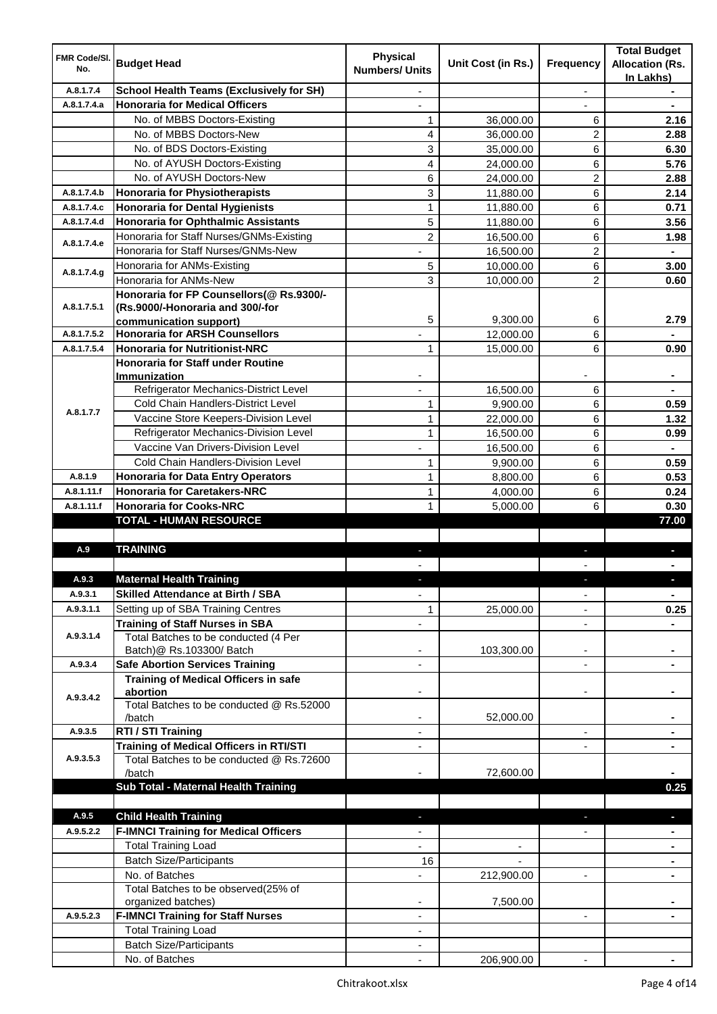| <b>FMR Code/SI.</b><br>No. | <b>Budget Head</b>                                      | <b>Physical</b><br><b>Numbers/ Units</b> | Unit Cost (in Rs.)       | Frequency                | <b>Total Budget</b><br><b>Allocation (Rs.</b><br>In Lakhs) |
|----------------------------|---------------------------------------------------------|------------------------------------------|--------------------------|--------------------------|------------------------------------------------------------|
| A.8.1.7.4                  | <b>School Health Teams (Exclusively for SH)</b>         |                                          |                          | ÷.                       |                                                            |
| A.8.1.7.4.a                | <b>Honoraria for Medical Officers</b>                   |                                          |                          |                          |                                                            |
|                            | No. of MBBS Doctors-Existing                            | $\mathbf{1}$                             | 36,000.00                | 6                        | 2.16                                                       |
|                            | No. of MBBS Doctors-New                                 | 4                                        | 36,000.00                | 2                        | 2.88                                                       |
|                            | No. of BDS Doctors-Existing                             | 3                                        | 35,000.00                | 6                        | 6.30                                                       |
|                            | No. of AYUSH Doctors-Existing                           | 4                                        | 24,000.00                | 6                        | 5.76                                                       |
|                            | No. of AYUSH Doctors-New                                | 6                                        | 24,000.00                | 2                        | 2.88                                                       |
| A.8.1.7.4.b                | <b>Honoraria for Physiotherapists</b>                   | 3                                        | 11,880.00                | 6                        | 2.14                                                       |
| A.8.1.7.4.c                | <b>Honoraria for Dental Hygienists</b>                  | $\mathbf{1}$                             | 11,880.00                | 6                        | 0.71                                                       |
| A.8.1.7.4.d                | <b>Honoraria for Ophthalmic Assistants</b>              | 5                                        | 11,880.00                | 6                        | 3.56                                                       |
|                            | Honoraria for Staff Nurses/GNMs-Existing                | 2                                        | 16,500.00                | 6                        | 1.98                                                       |
| A.8.1.7.4.e                | Honoraria for Staff Nurses/GNMs-New                     |                                          | 16,500.00                | 2                        |                                                            |
|                            | Honoraria for ANMs-Existing                             | 5                                        | 10,000.00                | 6                        | 3.00                                                       |
| A.8.1.7.4.g                | Honoraria for ANMs-New                                  | 3                                        | 10,000.00                | $\overline{2}$           | 0.60                                                       |
|                            | Honoraria for FP Counsellors(@ Rs.9300/-                |                                          |                          |                          |                                                            |
| A.8.1.7.5.1                | (Rs.9000/-Honoraria and 300/-for                        |                                          |                          |                          |                                                            |
|                            | communication support)                                  | 5                                        | 9,300.00                 | 6                        | 2.79                                                       |
| A.8.1.7.5.2                | <b>Honoraria for ARSH Counsellors</b>                   |                                          | 12,000.00                | 6                        |                                                            |
| A.8.1.7.5.4                | <b>Honoraria for Nutritionist-NRC</b>                   | $\mathbf{1}$                             | 15,000.00                | 6                        | 0.90                                                       |
|                            | <b>Honoraria for Staff under Routine</b>                |                                          |                          |                          |                                                            |
|                            | <b>Immunization</b>                                     |                                          |                          |                          |                                                            |
|                            | Refrigerator Mechanics-District Level                   |                                          | 16,500.00                | 6                        |                                                            |
| A.8.1.7.7                  | Cold Chain Handlers-District Level                      | 1                                        | 9,900.00                 | 6                        | 0.59                                                       |
|                            | Vaccine Store Keepers-Division Level                    | $\mathbf{1}$                             | 22,000.00                | 6                        | 1.32                                                       |
|                            | Refrigerator Mechanics-Division Level                   | $\mathbf{1}$                             | 16,500.00                | 6                        | 0.99                                                       |
|                            | Vaccine Van Drivers-Division Level                      |                                          | 16,500.00                | 6                        |                                                            |
|                            | Cold Chain Handlers-Division Level                      | $\mathbf{1}$                             | 9,900.00                 | 6                        | 0.59                                                       |
| A.8.1.9                    | <b>Honoraria for Data Entry Operators</b>               | $\mathbf{1}$                             | 8,800.00                 | 6                        | 0.53                                                       |
| A.8.1.11.f                 | <b>Honoraria for Caretakers-NRC</b>                     | $\mathbf{1}$                             | 4,000.00                 | 6                        | 0.24                                                       |
| A.8.1.11.f                 | <b>Honoraria for Cooks-NRC</b>                          | 1                                        | 5,000.00                 | 6                        | 0.30                                                       |
|                            | <b>TOTAL - HUMAN RESOURCE</b>                           |                                          |                          |                          | 77.00                                                      |
|                            |                                                         |                                          |                          |                          |                                                            |
| A.9                        | <b>TRAINING</b>                                         | ٠                                        |                          | ٠                        | D.                                                         |
|                            |                                                         |                                          |                          |                          |                                                            |
| A.9.3                      | <b>Maternal Health Training</b>                         |                                          |                          |                          |                                                            |
| A.9.3.1                    | <b>Skilled Attendance at Birth / SBA</b>                | ÷,                                       |                          | $\overline{\phantom{a}}$ | $\blacksquare$                                             |
| A.9.3.1.1                  | Setting up of SBA Training Centres                      | 1                                        | 25,000.00                | ۰                        | 0.25                                                       |
|                            | <b>Training of Staff Nurses in SBA</b>                  | ÷,                                       |                          | $\overline{\phantom{a}}$ |                                                            |
| A.9.3.1.4                  | Total Batches to be conducted (4 Per                    |                                          |                          |                          |                                                            |
|                            | Batch)@ Rs.103300/ Batch                                |                                          | 103,300.00               | ٠                        |                                                            |
| A.9.3.4                    | <b>Safe Abortion Services Training</b>                  |                                          |                          |                          |                                                            |
|                            | <b>Training of Medical Officers in safe</b><br>abortion |                                          |                          | -                        |                                                            |
| A.9.3.4.2                  | Total Batches to be conducted @ Rs.52000                |                                          |                          |                          |                                                            |
|                            | /batch                                                  | $\overline{\phantom{a}}$                 | 52,000.00                |                          | ۰                                                          |
| A.9.3.5                    | RTI / STI Training                                      | $\overline{\phantom{0}}$                 |                          | ÷,                       | ٠                                                          |
|                            | <b>Training of Medical Officers in RTI/STI</b>          | $\overline{\phantom{0}}$                 |                          | L,                       | $\blacksquare$                                             |
| A.9.3.5.3                  | Total Batches to be conducted @ Rs.72600                |                                          |                          |                          |                                                            |
|                            | /batch                                                  |                                          | 72,600.00                |                          |                                                            |
|                            | Sub Total - Maternal Health Training                    |                                          |                          |                          | 0.25                                                       |
|                            |                                                         |                                          |                          |                          |                                                            |
| A.9.5                      | <b>Child Health Training</b>                            |                                          |                          |                          | ٠                                                          |
| A.9.5.2.2                  | <b>F-IMNCI Training for Medical Officers</b>            |                                          |                          |                          |                                                            |
|                            | <b>Total Training Load</b>                              |                                          | $\overline{\phantom{a}}$ |                          | $\blacksquare$                                             |
|                            | <b>Batch Size/Participants</b>                          | 16                                       |                          |                          | ٠                                                          |
|                            | No. of Batches                                          | $\overline{\phantom{0}}$                 | 212,900.00               | ۰                        | ۰                                                          |
|                            | Total Batches to be observed(25% of                     |                                          |                          |                          |                                                            |
|                            | organized batches)                                      |                                          | 7,500.00                 |                          |                                                            |
| A.9.5.2.3                  | <b>F-IMNCI Training for Staff Nurses</b>                | ٠                                        |                          | $\blacksquare$           |                                                            |
|                            | <b>Total Training Load</b>                              | ۰                                        |                          |                          |                                                            |
|                            | <b>Batch Size/Participants</b>                          |                                          |                          |                          |                                                            |
|                            | No. of Batches                                          |                                          | 206,900.00               |                          |                                                            |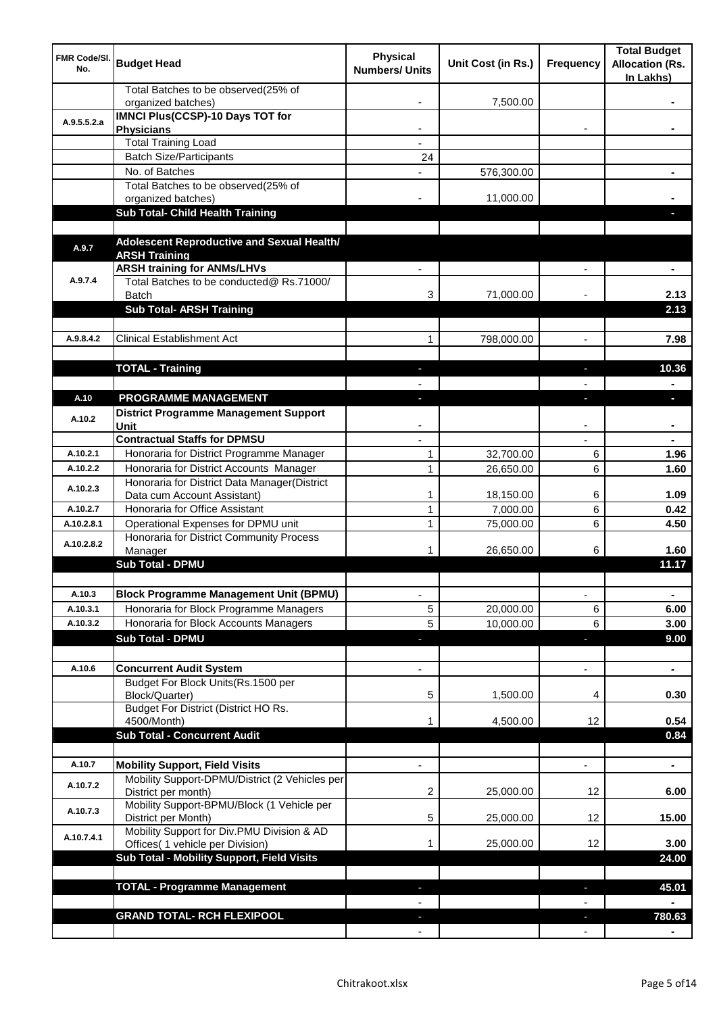| <b>FMR Code/SI.</b><br>No. | <b>Budget Head</b>                                                                      | <b>Physical</b><br><b>Numbers/ Units</b> | Unit Cost (in Rs.) | Frequency                | <b>Total Budget</b><br><b>Allocation (Rs.</b><br>In Lakhs) |
|----------------------------|-----------------------------------------------------------------------------------------|------------------------------------------|--------------------|--------------------------|------------------------------------------------------------|
|                            | Total Batches to be observed(25% of<br>organized batches)                               |                                          | 7,500.00           |                          |                                                            |
| A.9.5.5.2.a                | <b>IMNCI Plus(CCSP)-10 Days TOT for</b>                                                 |                                          |                    |                          |                                                            |
|                            | <b>Physicians</b>                                                                       |                                          |                    |                          |                                                            |
|                            | <b>Total Training Load</b>                                                              |                                          |                    |                          |                                                            |
|                            | <b>Batch Size/Participants</b><br>No. of Batches                                        | 24                                       |                    |                          |                                                            |
|                            | Total Batches to be observed(25% of                                                     |                                          | 576,300.00         |                          |                                                            |
|                            | organized batches)                                                                      |                                          | 11,000.00          |                          |                                                            |
|                            | Sub Total- Child Health Training                                                        |                                          |                    |                          |                                                            |
|                            |                                                                                         |                                          |                    |                          |                                                            |
| A.9.7                      | Adolescent Reproductive and Sexual Health/                                              |                                          |                    |                          |                                                            |
|                            | <b>ARSH Training</b>                                                                    |                                          |                    |                          |                                                            |
| A.9.7.4                    | <b>ARSH training for ANMs/LHVs</b><br>Total Batches to be conducted@ Rs.71000/          |                                          |                    |                          |                                                            |
|                            | <b>Batch</b>                                                                            | 3                                        | 71,000.00          |                          | 2.13                                                       |
|                            | <b>Sub Total- ARSH Training</b>                                                         |                                          |                    |                          | 2.13                                                       |
|                            |                                                                                         |                                          |                    |                          |                                                            |
| A.9.8.4.2                  | <b>Clinical Establishment Act</b>                                                       | 1                                        | 798,000.00         | $\overline{a}$           | 7.98                                                       |
|                            |                                                                                         |                                          |                    |                          |                                                            |
|                            | <b>TOTAL - Training</b>                                                                 |                                          |                    |                          | 10.36                                                      |
|                            |                                                                                         |                                          |                    |                          |                                                            |
| A.10                       | PROGRAMME MANAGEMENT                                                                    |                                          |                    |                          | a.                                                         |
| A.10.2                     | <b>District Programme Management Support</b>                                            |                                          |                    |                          |                                                            |
|                            | Unit                                                                                    |                                          |                    |                          |                                                            |
|                            | <b>Contractual Staffs for DPMSU</b>                                                     |                                          |                    |                          |                                                            |
| A.10.2.1                   | Honoraria for District Programme Manager                                                | 1                                        | 32,700.00          | 6                        | 1.96                                                       |
| A.10.2.2                   | Honoraria for District Accounts Manager<br>Honoraria for District Data Manager(District | $\mathbf{1}$                             | 26,650.00          | 6                        | 1.60                                                       |
| A.10.2.3                   | Data cum Account Assistant)                                                             | 1                                        | 18,150.00          | 6                        | 1.09                                                       |
| A.10.2.7                   | Honoraria for Office Assistant                                                          | 1                                        | 7,000.00           | 6                        | 0.42                                                       |
| A.10.2.8.1                 | Operational Expenses for DPMU unit                                                      | 1                                        | 75,000.00          | 6                        | 4.50                                                       |
| A.10.2.8.2                 | Honoraria for District Community Process                                                |                                          |                    |                          |                                                            |
|                            | Manager                                                                                 | 1                                        | 26,650.00          | 6                        | 1.60                                                       |
|                            | <b>Sub Total - DPMU</b>                                                                 |                                          |                    |                          | 11.17                                                      |
|                            |                                                                                         |                                          |                    |                          |                                                            |
| A.10.3                     | <b>Block Programme Management Unit (BPMU)</b>                                           | $\overline{\phantom{a}}$                 |                    | $\overline{\phantom{a}}$ | $\blacksquare$                                             |
| A.10.3.1                   | Honoraria for Block Programme Managers                                                  | 5                                        | 20,000.00          | 6                        | 6.00                                                       |
| A.10.3.2                   | Honoraria for Block Accounts Managers                                                   | 5                                        | 10,000.00          | 6                        | 3.00                                                       |
|                            | <b>Sub Total - DPMU</b>                                                                 | P.                                       |                    | ٠                        | 9.00                                                       |
| A.10.6                     | <b>Concurrent Audit System</b>                                                          |                                          |                    | $\overline{\phantom{0}}$ | $\blacksquare$                                             |
|                            | Budget For Block Units(Rs. 1500 per                                                     |                                          |                    |                          |                                                            |
|                            | Block/Quarter)                                                                          | 5                                        | 1,500.00           | 4                        | 0.30                                                       |
|                            | Budget For District (District HO Rs.                                                    |                                          |                    |                          |                                                            |
|                            | 4500/Month)                                                                             | 1                                        | 4,500.00           | 12                       | 0.54                                                       |
|                            | <b>Sub Total - Concurrent Audit</b>                                                     |                                          |                    |                          | 0.84                                                       |
|                            |                                                                                         |                                          |                    |                          |                                                            |
| A.10.7                     | <b>Mobility Support, Field Visits</b>                                                   |                                          |                    | $\overline{a}$           | $\blacksquare$                                             |
| A.10.7.2                   | Mobility Support-DPMU/District (2 Vehicles per<br>District per month)                   | 2                                        | 25,000.00          | 12                       | 6.00                                                       |
| A.10.7.3                   | Mobility Support-BPMU/Block (1 Vehicle per<br>District per Month)                       | 5                                        | 25,000.00          | 12                       | 15.00                                                      |
| A.10.7.4.1                 | Mobility Support for Div.PMU Division & AD<br>Offices( 1 vehicle per Division)          | 1                                        | 25,000.00          | 12                       | 3.00                                                       |
|                            | Sub Total - Mobility Support, Field Visits                                              |                                          |                    |                          | 24.00                                                      |
|                            |                                                                                         |                                          |                    |                          |                                                            |
|                            | <b>TOTAL - Programme Management</b>                                                     |                                          |                    |                          | 45.01                                                      |
|                            | <b>GRAND TOTAL- RCH FLEXIPOOL</b>                                                       |                                          |                    |                          |                                                            |
|                            |                                                                                         |                                          |                    |                          | 780.63                                                     |
|                            |                                                                                         |                                          |                    |                          |                                                            |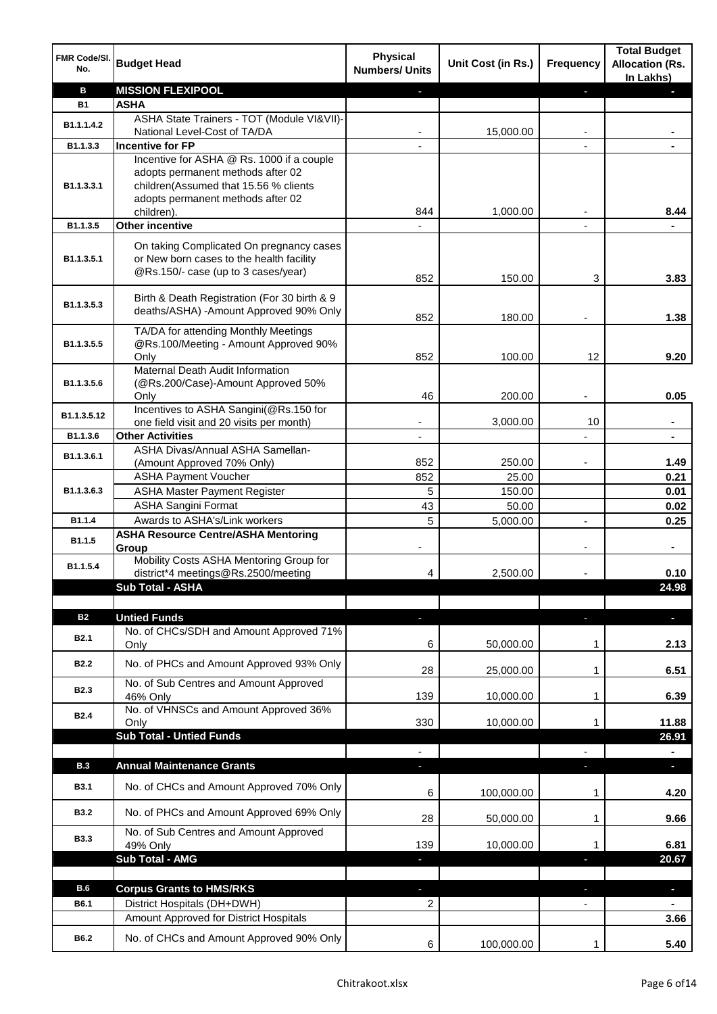| FMR Code/SI.<br>No.     | <b>Budget Head</b>                                                                                                                                                         | <b>Physical</b><br><b>Numbers/ Units</b> | Unit Cost (in Rs.) | <b>Frequency</b> | <b>Total Budget</b><br><b>Allocation (Rs.</b><br>In Lakhs) |
|-------------------------|----------------------------------------------------------------------------------------------------------------------------------------------------------------------------|------------------------------------------|--------------------|------------------|------------------------------------------------------------|
| B                       | <b>MISSION FLEXIPOOL</b>                                                                                                                                                   |                                          |                    | r                |                                                            |
| <b>B1</b>               | <b>ASHA</b>                                                                                                                                                                |                                          |                    |                  |                                                            |
| B1.1.1.4.2              | ASHA State Trainers - TOT (Module VI&VII)-                                                                                                                                 |                                          |                    |                  |                                                            |
|                         | National Level-Cost of TA/DA                                                                                                                                               |                                          | 15,000.00          |                  |                                                            |
| B1.1.3.3                | <b>Incentive for FP</b>                                                                                                                                                    |                                          |                    |                  |                                                            |
| B <sub>1.1</sub> .3.3.1 | Incentive for ASHA @ Rs. 1000 if a couple<br>adopts permanent methods after 02<br>children(Assumed that 15.56 % clients<br>adopts permanent methods after 02<br>children). | 844                                      | 1.000.00           |                  | 8.44                                                       |
| B1.1.3.5                | Other incentive                                                                                                                                                            |                                          |                    |                  |                                                            |
| B1.1.3.5.1              | On taking Complicated On pregnancy cases<br>or New born cases to the health facility<br>@Rs.150/- case (up to 3 cases/year)                                                |                                          |                    |                  |                                                            |
|                         |                                                                                                                                                                            | 852                                      | 150.00             | 3                | 3.83                                                       |
| B1.1.3.5.3              | Birth & Death Registration (For 30 birth & 9<br>deaths/ASHA) -Amount Approved 90% Only                                                                                     | 852                                      | 180.00             |                  | 1.38                                                       |
|                         | TA/DA for attending Monthly Meetings                                                                                                                                       |                                          |                    |                  |                                                            |
| B1.1.3.5.5              | @Rs.100/Meeting - Amount Approved 90%                                                                                                                                      |                                          |                    |                  |                                                            |
|                         | Only<br>Maternal Death Audit Information                                                                                                                                   | 852                                      | 100.00             | 12               | 9.20                                                       |
| B1.1.3.5.6              | (@Rs.200/Case)-Amount Approved 50%<br>Only                                                                                                                                 | 46                                       | 200.00             |                  | 0.05                                                       |
|                         | Incentives to ASHA Sangini(@Rs.150 for                                                                                                                                     |                                          |                    |                  |                                                            |
| B1.1.3.5.12             | one field visit and 20 visits per month)                                                                                                                                   | ۰                                        | 3,000.00           | 10               | ٠                                                          |
| B1.1.3.6                | <b>Other Activities</b>                                                                                                                                                    | $\overline{\phantom{a}}$                 |                    |                  | $\blacksquare$                                             |
| B1.1.3.6.1              | ASHA Divas/Annual ASHA Samellan-                                                                                                                                           |                                          |                    |                  |                                                            |
|                         | (Amount Approved 70% Only)                                                                                                                                                 | 852                                      | 250.00             |                  | 1.49                                                       |
|                         | <b>ASHA Payment Voucher</b>                                                                                                                                                | 852                                      | 25.00              |                  | 0.21                                                       |
| B1.1.3.6.3              | <b>ASHA Master Payment Register</b>                                                                                                                                        | 5                                        | 150.00             |                  | 0.01                                                       |
|                         | <b>ASHA Sangini Format</b>                                                                                                                                                 | 43                                       | 50.00              |                  | 0.02                                                       |
| B1.1.4                  | Awards to ASHA's/Link workers                                                                                                                                              | 5                                        | 5,000.00           | $\overline{a}$   | 0.25                                                       |
| B1.1.5                  | <b>ASHA Resource Centre/ASHA Mentoring</b><br>Group                                                                                                                        |                                          |                    |                  | $\blacksquare$                                             |
| B1.1.5.4                | Mobility Costs ASHA Mentoring Group for<br>district*4 meetings@Rs.2500/meeting                                                                                             | 4                                        | 2,500.00           |                  | 0.10                                                       |
|                         | <b>Sub Total - ASHA</b>                                                                                                                                                    |                                          |                    |                  | 24.98                                                      |
|                         |                                                                                                                                                                            |                                          |                    |                  |                                                            |
| <b>B2</b>               | <b>Untied Funds</b>                                                                                                                                                        | ٠                                        |                    | J,               | $\blacksquare$                                             |
| <b>B2.1</b>             | No. of CHCs/SDH and Amount Approved 71%<br>Only                                                                                                                            | 6                                        | 50,000.00          | 1                | 2.13                                                       |
| <b>B2.2</b>             | No. of PHCs and Amount Approved 93% Only                                                                                                                                   | 28                                       | 25,000.00          | 1                | 6.51                                                       |
| <b>B2.3</b>             | No. of Sub Centres and Amount Approved<br>46% Only                                                                                                                         | 139                                      | 10,000.00          | 1                | 6.39                                                       |
| <b>B2.4</b>             | No. of VHNSCs and Amount Approved 36%<br>Only                                                                                                                              | 330                                      | 10,000.00          | 1                | 11.88                                                      |
|                         | <b>Sub Total - Untied Funds</b>                                                                                                                                            |                                          |                    |                  | 26.91                                                      |
|                         |                                                                                                                                                                            |                                          |                    |                  |                                                            |
| <b>B.3</b>              | <b>Annual Maintenance Grants</b>                                                                                                                                           |                                          |                    |                  |                                                            |
| <b>B3.1</b>             | No. of CHCs and Amount Approved 70% Only                                                                                                                                   | 6                                        | 100,000.00         | 1                | 4.20                                                       |
| <b>B3.2</b>             | No. of PHCs and Amount Approved 69% Only                                                                                                                                   | 28                                       | 50,000.00          | 1                | 9.66                                                       |
| <b>B3.3</b>             | No. of Sub Centres and Amount Approved<br>49% Only                                                                                                                         | 139                                      | 10,000.00          | 1                | 6.81                                                       |
|                         | <b>Sub Total - AMG</b>                                                                                                                                                     | ٠                                        |                    | J,               | 20.67                                                      |
| <b>B.6</b>              | <b>Corpus Grants to HMS/RKS</b>                                                                                                                                            |                                          |                    |                  | $\blacksquare$                                             |
| B6.1                    | District Hospitals (DH+DWH)                                                                                                                                                | 2                                        |                    |                  |                                                            |
|                         | Amount Approved for District Hospitals                                                                                                                                     |                                          |                    |                  | 3.66                                                       |
|                         |                                                                                                                                                                            |                                          |                    |                  |                                                            |
| B6.2                    | No. of CHCs and Amount Approved 90% Only                                                                                                                                   | 6                                        | 100,000.00         | $\mathbf{1}$     | 5.40                                                       |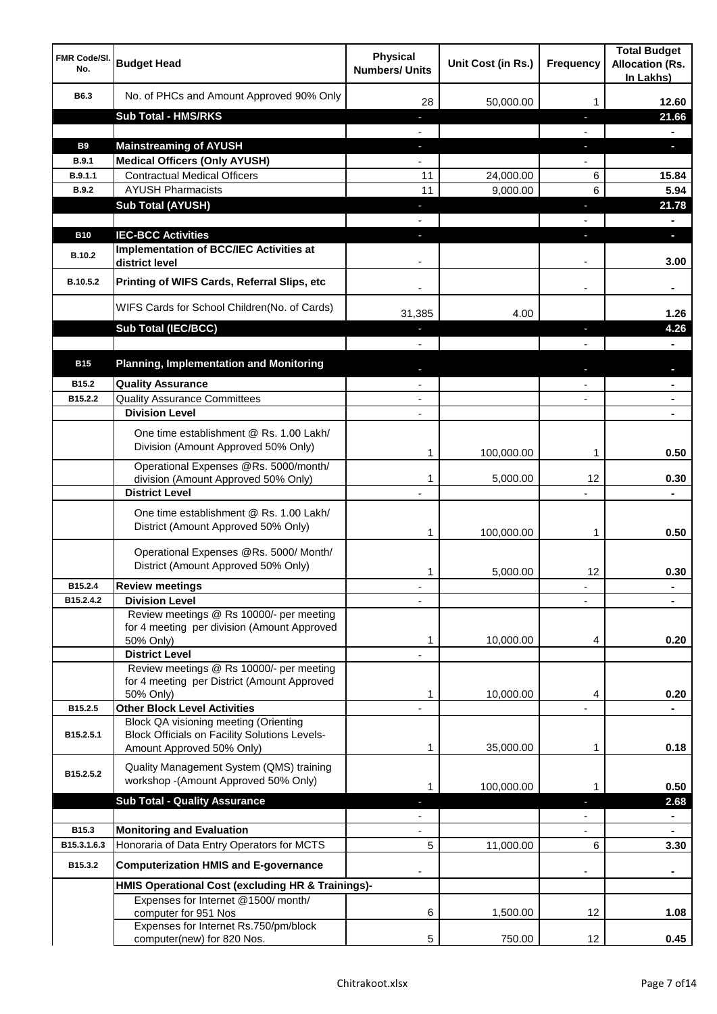| <b>FMR Code/SI.</b><br>No. | <b>Budget Head</b>                                                                                   | <b>Physical</b><br><b>Numbers/ Units</b> | Unit Cost (in Rs.) | <b>Frequency</b>  | <b>Total Budget</b><br><b>Allocation (Rs.</b><br>In Lakhs) |
|----------------------------|------------------------------------------------------------------------------------------------------|------------------------------------------|--------------------|-------------------|------------------------------------------------------------|
| B6.3                       | No. of PHCs and Amount Approved 90% Only                                                             | 28                                       | 50,000.00          | 1                 | 12.60                                                      |
|                            | <b>Sub Total - HMS/RKS</b>                                                                           | ٠                                        |                    | J,                | 21.66                                                      |
|                            |                                                                                                      |                                          |                    |                   |                                                            |
| <b>B9</b>                  | <b>Mainstreaming of AYUSH</b>                                                                        | o,                                       |                    | T                 | a.                                                         |
| B.9.1                      | <b>Medical Officers (Only AYUSH)</b>                                                                 |                                          |                    |                   |                                                            |
| B.9.1.1                    | <b>Contractual Medical Officers</b>                                                                  | 11                                       | 24,000.00          | 6                 | 15.84                                                      |
| <b>B.9.2</b>               | <b>AYUSH Pharmacists</b>                                                                             | 11                                       | 9,000.00           | 6                 | 5.94                                                       |
|                            | <b>Sub Total (AYUSH)</b>                                                                             | ٠                                        |                    | J,                | 21.78                                                      |
|                            |                                                                                                      |                                          |                    |                   |                                                            |
| <b>B10</b>                 | <b>IEC-BCC Activities</b>                                                                            |                                          |                    | ı.                | н                                                          |
| <b>B.10.2</b>              | <b>Implementation of BCC/IEC Activities at</b><br>district level                                     |                                          |                    |                   | 3.00                                                       |
| B.10.5.2                   | Printing of WIFS Cards, Referral Slips, etc                                                          |                                          |                    | $\blacksquare$    |                                                            |
|                            | WIFS Cards for School Children(No. of Cards)                                                         | 31,385                                   | 4.00               |                   | 1.26                                                       |
|                            | Sub Total (IEC/BCC)                                                                                  |                                          |                    | ı                 | 4.26                                                       |
|                            |                                                                                                      |                                          |                    |                   |                                                            |
| <b>B15</b>                 | <b>Planning, Implementation and Monitoring</b>                                                       |                                          |                    |                   |                                                            |
| B15.2                      | <b>Quality Assurance</b>                                                                             |                                          |                    |                   |                                                            |
| B15.2.2                    | <b>Quality Assurance Committees</b>                                                                  | $\overline{\phantom{a}}$                 |                    |                   | $\blacksquare$                                             |
|                            | <b>Division Level</b>                                                                                | $\blacksquare$                           |                    |                   | ۰                                                          |
|                            | One time establishment @ Rs. 1.00 Lakh/<br>Division (Amount Approved 50% Only)                       |                                          |                    |                   |                                                            |
|                            | Operational Expenses @Rs. 5000/month/                                                                | 1                                        | 100,000.00         | 1                 | 0.50                                                       |
|                            | division (Amount Approved 50% Only)<br><b>District Level</b>                                         | 1                                        | 5,000.00           | 12                | 0.30<br>$\blacksquare$                                     |
|                            | One time establishment @ Rs. 1.00 Lakh/<br>District (Amount Approved 50% Only)                       | 1                                        | 100,000.00         | 1                 | 0.50                                                       |
|                            | Operational Expenses @Rs. 5000/ Month/<br>District (Amount Approved 50% Only)                        | 1                                        | 5,000.00           | 12                | 0.30                                                       |
| B15.2.4                    | <b>Review meetings</b>                                                                               |                                          |                    | ٠                 | ٠                                                          |
| B15.2.4.2                  | <b>Division Level</b>                                                                                |                                          |                    |                   |                                                            |
|                            | Review meetings @ Rs 10000/- per meeting<br>for 4 meeting per division (Amount Approved<br>50% Only) | 1                                        | 10,000.00          | 4                 | 0.20                                                       |
|                            | <b>District Level</b><br>Review meetings @ Rs 10000/- per meeting                                    |                                          |                    |                   |                                                            |
|                            | for 4 meeting per District (Amount Approved                                                          |                                          |                    |                   |                                                            |
|                            | 50% Only)                                                                                            | 1                                        | 10,000.00          | 4                 | 0.20                                                       |
| B15.2.5                    | <b>Other Block Level Activities</b>                                                                  |                                          |                    |                   |                                                            |
| B15.2.5.1                  | Block QA visioning meeting (Orienting<br><b>Block Officials on Facility Solutions Levels-</b>        |                                          |                    |                   |                                                            |
|                            | Amount Approved 50% Only)                                                                            | 1                                        | 35,000.00          | 1                 | 0.18                                                       |
| B15.2.5.2                  | Quality Management System (QMS) training<br>workshop -(Amount Approved 50% Only)                     | 1                                        | 100,000.00         | 1                 | 0.50                                                       |
|                            | <b>Sub Total - Quality Assurance</b>                                                                 |                                          |                    |                   | 2.68                                                       |
|                            |                                                                                                      |                                          |                    |                   |                                                            |
| B15.3                      | <b>Monitoring and Evaluation</b>                                                                     |                                          |                    |                   |                                                            |
| B15.3.1.6.3                | Honoraria of Data Entry Operators for MCTS                                                           | 5                                        | 11,000.00          | 6                 | 3.30                                                       |
| B15.3.2                    | <b>Computerization HMIS and E-governance</b>                                                         |                                          |                    |                   |                                                            |
|                            | HMIS Operational Cost (excluding HR & Trainings)-                                                    |                                          |                    |                   |                                                            |
|                            | Expenses for Internet @1500/month/<br>computer for 951 Nos                                           | 6                                        | 1,500.00           | 12                | 1.08                                                       |
|                            | Expenses for Internet Rs.750/pm/block<br>computer(new) for 820 Nos.                                  | 5                                        | 750.00             | $12 \overline{ }$ | 0.45                                                       |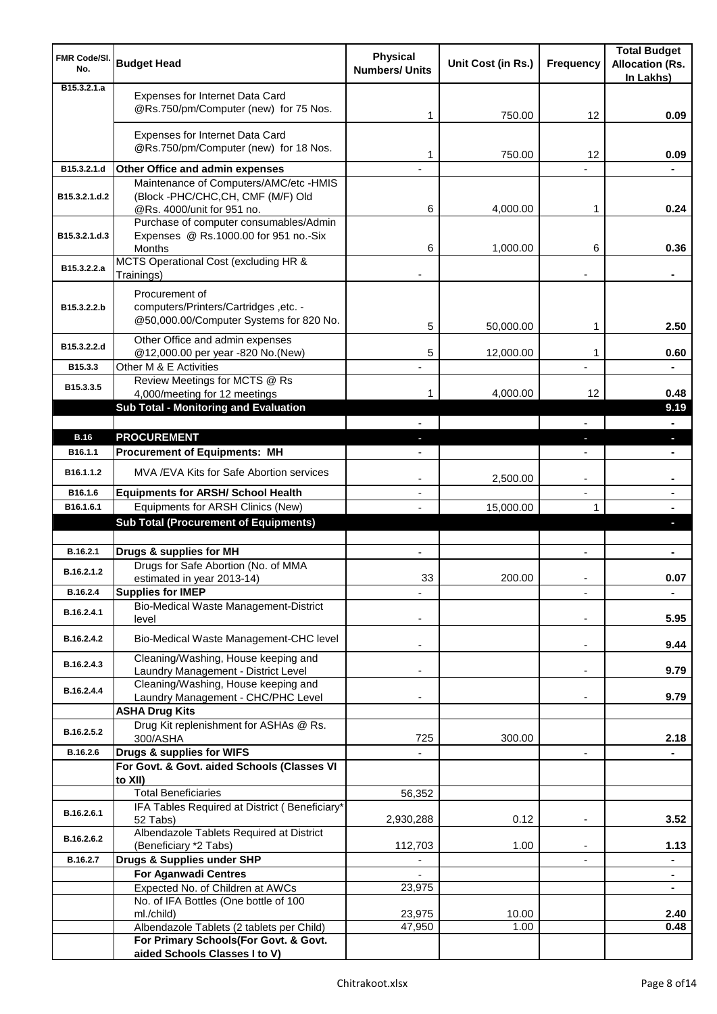| <b>FMR Code/SI.</b><br>No.   | <b>Budget Head</b>                                                                                 | <b>Physical</b><br><b>Numbers/ Units</b> | Unit Cost (in Rs.) | <b>Frequency</b>         | <b>Total Budget</b><br><b>Allocation (Rs.</b><br>In Lakhs) |
|------------------------------|----------------------------------------------------------------------------------------------------|------------------------------------------|--------------------|--------------------------|------------------------------------------------------------|
| B <sub>15</sub> , 3, 2, 1, a | Expenses for Internet Data Card<br>@Rs.750/pm/Computer (new) for 75 Nos.                           | 1                                        | 750.00             | 12                       | 0.09                                                       |
|                              | Expenses for Internet Data Card<br>@Rs.750/pm/Computer (new) for 18 Nos.                           | 1                                        | 750.00             | 12                       | 0.09                                                       |
| B15.3.2.1.d                  | Other Office and admin expenses                                                                    |                                          |                    |                          |                                                            |
|                              | Maintenance of Computers/AMC/etc -HMIS                                                             |                                          |                    |                          |                                                            |
| B15.3.2.1.d.2                | (Block -PHC/CHC,CH, CMF (M/F) Old<br>@Rs. 4000/unit for 951 no.                                    | 6                                        | 4,000.00           | 1                        | 0.24                                                       |
|                              | Purchase of computer consumables/Admin                                                             |                                          |                    |                          |                                                            |
| B15.3.2.1.d.3                | Expenses @ Rs.1000.00 for 951 no.-Six<br>Months                                                    | 6                                        | 1,000.00           | 6                        | 0.36                                                       |
| B15.3.2.2.a                  | MCTS Operational Cost (excluding HR &                                                              |                                          |                    |                          |                                                            |
|                              | Trainings)                                                                                         |                                          |                    |                          |                                                            |
| B15.3.2.2.b                  | Procurement of<br>computers/Printers/Cartridges, etc. -<br>@50,000.00/Computer Systems for 820 No. | 5                                        | 50,000.00          | 1                        | 2.50                                                       |
| B15.3.2.2.d                  | Other Office and admin expenses                                                                    |                                          |                    |                          |                                                            |
|                              | @12,000.00 per year -820 No.(New)                                                                  | 5                                        | 12,000.00          | 1                        | 0.60                                                       |
| B15.3.3                      | Other M & E Activities<br>Review Meetings for MCTS @ Rs                                            |                                          |                    |                          |                                                            |
| B15.3.3.5                    | 4,000/meeting for 12 meetings                                                                      | 1                                        | 4,000.00           | 12                       | 0.48                                                       |
|                              | Sub Total - Monitoring and Evaluation                                                              |                                          |                    |                          | 9.19                                                       |
|                              |                                                                                                    |                                          |                    |                          |                                                            |
| <b>B.16</b>                  | <b>PROCUREMENT</b>                                                                                 |                                          |                    | J,                       | a.                                                         |
| B <sub>16.1.1</sub>          | <b>Procurement of Equipments: MH</b>                                                               |                                          |                    |                          |                                                            |
| B16.1.1.2                    | MVA / EVA Kits for Safe Abortion services                                                          |                                          | 2,500.00           | $\overline{\phantom{a}}$ | ۰                                                          |
| B16.1.6                      | <b>Equipments for ARSH/ School Health</b>                                                          | $\overline{\phantom{a}}$                 |                    | $\overline{\phantom{a}}$ | ٠                                                          |
| B16.1.6.1                    | Equipments for ARSH Clinics (New)<br><b>Sub Total (Procurement of Equipments)</b>                  |                                          | 15,000.00          | 1                        | $\blacksquare$<br>D.                                       |
|                              |                                                                                                    |                                          |                    |                          |                                                            |
| B.16.2.1                     | Drugs & supplies for MH                                                                            | $\blacksquare$                           |                    | $\blacksquare$           | ٠                                                          |
| B.16.2.1.2                   | Drugs for Safe Abortion (No. of MMA<br>estimated in year 2013-14)                                  | 33                                       | 200.00             |                          | 0.07                                                       |
| B.16.2.4                     | <b>Supplies for IMEP</b>                                                                           |                                          |                    |                          | ۰                                                          |
| B.16.2.4.1                   | Bio-Medical Waste Management-District<br>level                                                     |                                          |                    |                          | 5.95                                                       |
| B.16.2.4.2                   | Bio-Medical Waste Management-CHC level                                                             |                                          |                    | $\overline{\phantom{a}}$ | 9.44                                                       |
| B.16.2.4.3                   | Cleaning/Washing, House keeping and<br>Laundry Management - District Level                         |                                          |                    | $\blacksquare$           | 9.79                                                       |
| B.16.2.4.4                   | Cleaning/Washing, House keeping and                                                                |                                          |                    |                          |                                                            |
|                              | Laundry Management - CHC/PHC Level                                                                 |                                          |                    |                          | 9.79                                                       |
|                              | <b>ASHA Drug Kits</b>                                                                              |                                          |                    |                          |                                                            |
| B.16.2.5.2                   | Drug Kit replenishment for ASHAs @ Rs.<br>300/ASHA                                                 | 725                                      | 300.00             |                          | 2.18                                                       |
| B.16.2.6                     | Drugs & supplies for WIFS                                                                          |                                          |                    | $\overline{\phantom{a}}$ |                                                            |
|                              | For Govt. & Govt. aided Schools (Classes VI                                                        |                                          |                    |                          |                                                            |
|                              | to XII)                                                                                            |                                          |                    |                          |                                                            |
|                              | <b>Total Beneficiaries</b>                                                                         | 56,352                                   |                    |                          |                                                            |
| B.16.2.6.1                   | IFA Tables Required at District (Beneficiary*<br>52 Tabs)                                          | 2,930,288                                | 0.12               | $\blacksquare$           | 3.52                                                       |
| B.16.2.6.2                   | Albendazole Tablets Required at District<br>(Beneficiary *2 Tabs)                                  | 112,703                                  | 1.00               |                          | 1.13                                                       |
| B.16.2.7                     | Drugs & Supplies under SHP                                                                         |                                          |                    |                          | ۰                                                          |
|                              | <b>For Aganwadi Centres</b>                                                                        |                                          |                    |                          | $\blacksquare$                                             |
|                              | Expected No. of Children at AWCs                                                                   | 23,975                                   |                    |                          | $\blacksquare$                                             |
|                              | No. of IFA Bottles (One bottle of 100                                                              |                                          |                    |                          |                                                            |
|                              | ml./child)                                                                                         | 23,975                                   | 10.00              |                          | 2.40                                                       |
|                              | Albendazole Tablets (2 tablets per Child)<br>For Primary Schools(For Govt. & Govt.                 | 47,950                                   | 1.00               |                          | 0.48                                                       |
|                              | aided Schools Classes I to V)                                                                      |                                          |                    |                          |                                                            |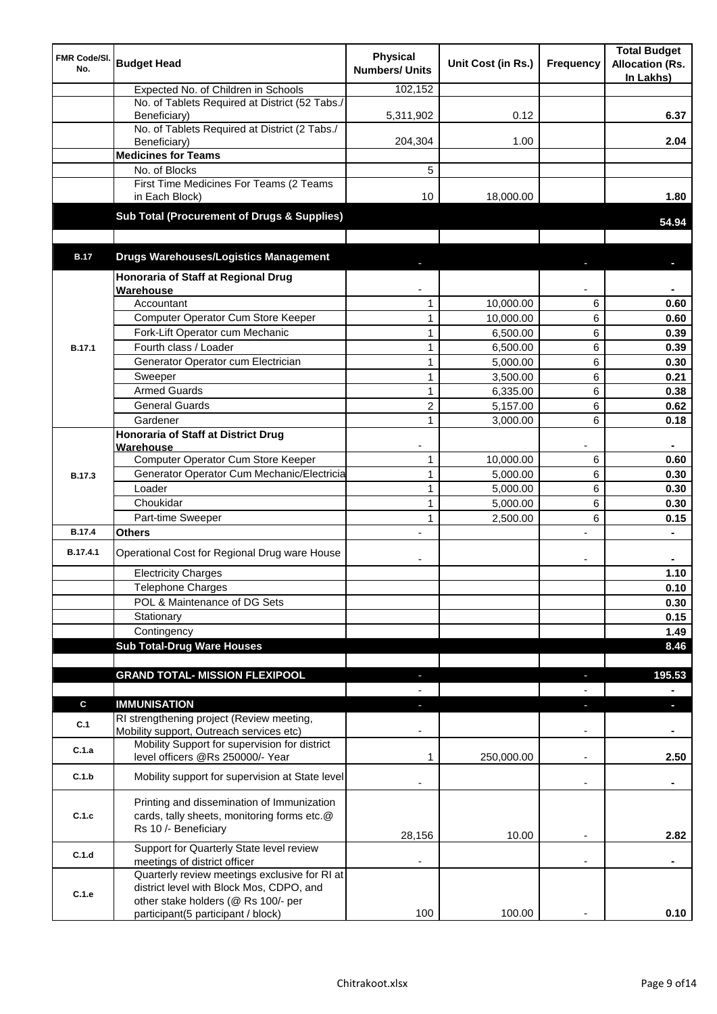| FMR Code/SI.<br>No. | <b>Budget Head</b>                                                                                                | <b>Physical</b><br><b>Numbers/ Units</b> | Unit Cost (in Rs.) | <b>Frequency</b>         | <b>Total Budget</b><br><b>Allocation (Rs.</b><br>In Lakhs) |
|---------------------|-------------------------------------------------------------------------------------------------------------------|------------------------------------------|--------------------|--------------------------|------------------------------------------------------------|
|                     | Expected No. of Children in Schools                                                                               | 102,152                                  |                    |                          |                                                            |
|                     | No. of Tablets Required at District (52 Tabs./<br>Beneficiary)                                                    | 5,311,902                                | 0.12               |                          | 6.37                                                       |
|                     | No. of Tablets Required at District (2 Tabs./<br>Beneficiary)                                                     | 204,304                                  | 1.00               |                          | 2.04                                                       |
|                     | <b>Medicines for Teams</b>                                                                                        |                                          |                    |                          |                                                            |
|                     | No. of Blocks                                                                                                     | 5                                        |                    |                          |                                                            |
|                     | First Time Medicines For Teams (2 Teams<br>in Each Block)                                                         | 10                                       | 18,000.00          |                          | 1.80                                                       |
|                     | Sub Total (Procurement of Drugs & Supplies)                                                                       |                                          |                    |                          | 54.94                                                      |
| <b>B.17</b>         | <b>Drugs Warehouses/Logistics Management</b>                                                                      |                                          |                    |                          |                                                            |
|                     | Honoraria of Staff at Regional Drug                                                                               |                                          |                    |                          |                                                            |
|                     | Warehouse                                                                                                         |                                          |                    |                          |                                                            |
|                     | Accountant                                                                                                        | 1                                        | 10,000.00          | 6                        | 0.60                                                       |
|                     | Computer Operator Cum Store Keeper                                                                                | $\mathbf{1}$                             | 10,000.00          | 6                        | 0.60                                                       |
|                     | Fork-Lift Operator cum Mechanic                                                                                   | $\mathbf{1}$                             | 6,500.00           | 6                        | 0.39                                                       |
| <b>B.17.1</b>       | Fourth class / Loader                                                                                             | $\mathbf{1}$                             | 6,500.00           | 6                        | 0.39                                                       |
|                     | Generator Operator cum Electrician                                                                                | $\mathbf{1}$                             | 5,000.00           | 6                        | 0.30                                                       |
|                     | Sweeper                                                                                                           | $\mathbf{1}$                             | 3,500.00           | 6                        | 0.21                                                       |
|                     | <b>Armed Guards</b>                                                                                               | $\mathbf{1}$                             | 6,335.00           | 6                        | 0.38                                                       |
|                     | <b>General Guards</b>                                                                                             | $\overline{c}$                           | 5,157.00           | 6                        | 0.62                                                       |
|                     | Gardener                                                                                                          | $\mathbf{1}$                             | 3,000.00           | 6                        | 0.18                                                       |
|                     | <b>Honoraria of Staff at District Drug</b>                                                                        |                                          |                    |                          |                                                            |
|                     | Warehouse                                                                                                         |                                          |                    |                          |                                                            |
|                     | Computer Operator Cum Store Keeper                                                                                | $\mathbf{1}$                             | 10,000.00          | 6                        | 0.60                                                       |
| <b>B.17.3</b>       | Generator Operator Cum Mechanic/Electricia                                                                        | $\mathbf{1}$                             | 5,000.00           | 6                        | 0.30                                                       |
|                     | Loader                                                                                                            | $\mathbf{1}$                             | 5,000.00           | 6                        | 0.30                                                       |
|                     | Choukidar                                                                                                         | $\mathbf{1}$                             | 5,000.00           | 6                        | 0.30                                                       |
|                     | Part-time Sweeper                                                                                                 | $\mathbf{1}$                             | 2,500.00           | 6                        | 0.15                                                       |
| <b>B.17.4</b>       | <b>Others</b>                                                                                                     |                                          |                    | L,                       |                                                            |
| B.17.4.1            | Operational Cost for Regional Drug ware House                                                                     |                                          |                    | ۰                        |                                                            |
|                     | <b>Electricity Charges</b>                                                                                        |                                          |                    |                          | 1.10                                                       |
|                     | Telephone Charges                                                                                                 |                                          |                    |                          | 0.10                                                       |
|                     | POL & Maintenance of DG Sets                                                                                      |                                          |                    |                          | 0.30                                                       |
|                     | Stationary                                                                                                        |                                          |                    |                          | 0.15                                                       |
|                     | Contingency                                                                                                       |                                          |                    |                          | 1.49                                                       |
|                     | <b>Sub Total-Drug Ware Houses</b>                                                                                 |                                          |                    |                          | 8.46                                                       |
|                     | <b>GRAND TOTAL- MISSION FLEXIPOOL</b>                                                                             | P.                                       |                    |                          | 195.53                                                     |
|                     |                                                                                                                   |                                          |                    |                          | $\blacksquare$                                             |
| $\mathbf c$         | <b>IMMUNISATION</b>                                                                                               |                                          |                    |                          | н                                                          |
| C.1                 | RI strengthening project (Review meeting,<br>Mobility support, Outreach services etc)                             |                                          |                    |                          |                                                            |
| C.1.a               | Mobility Support for supervision for district<br>level officers @Rs 250000/- Year                                 | 1                                        | 250,000.00         |                          | 2.50                                                       |
| C.1.b               | Mobility support for supervision at State level                                                                   |                                          |                    | $\overline{\phantom{a}}$ | ٠                                                          |
| C.1.c               | Printing and dissemination of Immunization<br>cards, tally sheets, monitoring forms etc.@<br>Rs 10 /- Beneficiary | 28,156                                   | 10.00              |                          | 2.82                                                       |
| C.1.d               | Support for Quarterly State level review                                                                          |                                          |                    |                          |                                                            |
|                     | meetings of district officer<br>Quarterly review meetings exclusive for RI at                                     |                                          |                    |                          |                                                            |
| C.1.e               | district level with Block Mos, CDPO, and<br>other stake holders (@ Rs 100/- per                                   |                                          |                    |                          |                                                            |
|                     | participant(5 participant / block)                                                                                | 100                                      | 100.00             |                          | 0.10                                                       |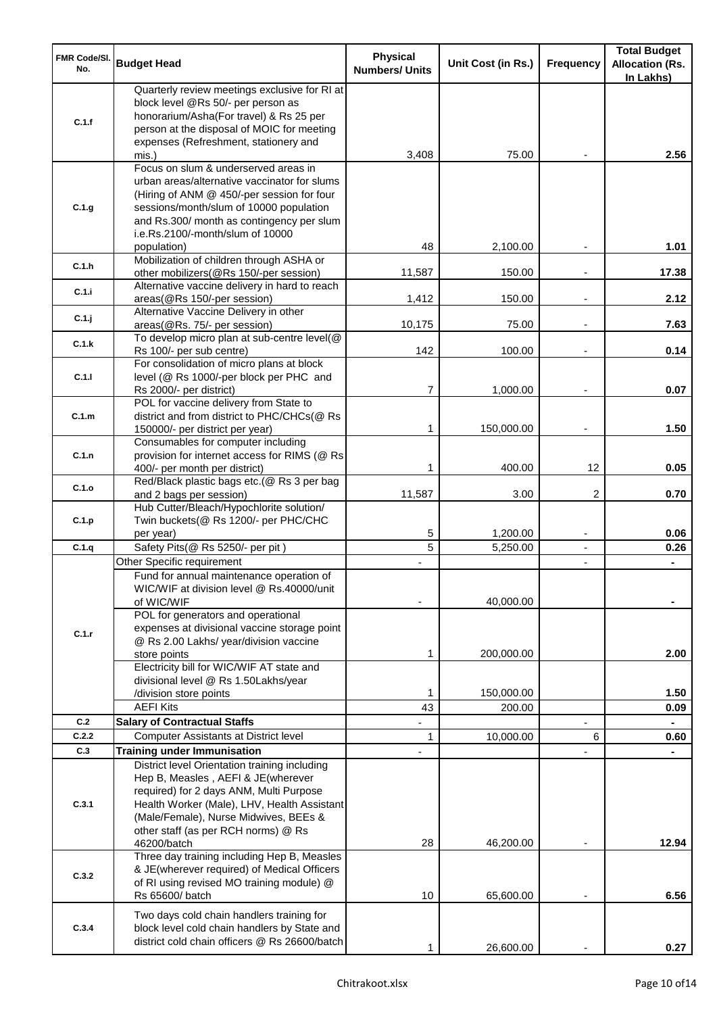| <b>FMR Code/SI.</b><br>No. | <b>Budget Head</b>                                                                                                                                                                                                                                                            | <b>Physical</b><br><b>Numbers/ Units</b> | Unit Cost (in Rs.) | Frequency                | <b>Total Budget</b><br><b>Allocation (Rs.</b><br>In Lakhs) |
|----------------------------|-------------------------------------------------------------------------------------------------------------------------------------------------------------------------------------------------------------------------------------------------------------------------------|------------------------------------------|--------------------|--------------------------|------------------------------------------------------------|
| C.1.f                      | Quarterly review meetings exclusive for RI at<br>block level @Rs 50/- per person as<br>honorarium/Asha(For travel) & Rs 25 per<br>person at the disposal of MOIC for meeting<br>expenses (Refreshment, stationery and                                                         |                                          |                    |                          |                                                            |
|                            | mis.)                                                                                                                                                                                                                                                                         | 3,408                                    | 75.00              |                          | 2.56                                                       |
| C.1.g                      | Focus on slum & underserved areas in<br>urban areas/alternative vaccinator for slums<br>(Hiring of ANM @ 450/-per session for four<br>sessions/month/slum of 10000 population<br>and Rs.300/ month as contingency per slum<br>i.e.Rs.2100/-month/slum of 10000<br>population) | 48                                       | 2,100.00           |                          | 1.01                                                       |
| C.1.h                      | Mobilization of children through ASHA or<br>other mobilizers(@Rs 150/-per session)                                                                                                                                                                                            | 11,587                                   | 150.00             |                          | 17.38                                                      |
| C.1.i                      | Alternative vaccine delivery in hard to reach<br>areas(@Rs 150/-per session)                                                                                                                                                                                                  | 1,412                                    | 150.00             | $\overline{\phantom{a}}$ | 2.12                                                       |
| C.1.j                      | Alternative Vaccine Delivery in other<br>areas(@Rs. 75/- per session)                                                                                                                                                                                                         | 10,175                                   | 75.00              | $\overline{\phantom{a}}$ | 7.63                                                       |
| C.1.k                      | To develop micro plan at sub-centre level(@<br>Rs 100/- per sub centre)                                                                                                                                                                                                       | 142                                      | 100.00             |                          | 0.14                                                       |
| C.1.1                      | For consolidation of micro plans at block<br>level (@ Rs 1000/-per block per PHC and                                                                                                                                                                                          |                                          |                    |                          |                                                            |
| C.1.m                      | Rs 2000/- per district)<br>POL for vaccine delivery from State to                                                                                                                                                                                                             | 7                                        | 1,000.00           | $\blacksquare$           | 0.07                                                       |
|                            | district and from district to PHC/CHCs(@ Rs<br>150000/- per district per year)                                                                                                                                                                                                | 1                                        | 150,000.00         | $\overline{\phantom{a}}$ | 1.50                                                       |
| C.1.n                      | Consumables for computer including<br>provision for internet access for RIMS (@ Rs<br>400/- per month per district)                                                                                                                                                           | 1                                        | 400.00             | 12                       | 0.05                                                       |
| C.1.o                      | Red/Black plastic bags etc. (@ Rs 3 per bag<br>and 2 bags per session)                                                                                                                                                                                                        | 11,587                                   | 3.00               | 2                        | 0.70                                                       |
| C.1.p                      | Hub Cutter/Bleach/Hypochlorite solution/<br>Twin buckets(@ Rs 1200/- per PHC/CHC<br>per year)                                                                                                                                                                                 | 5                                        | 1,200.00           | $\overline{\phantom{a}}$ | 0.06                                                       |
| C.1.q                      | Safety Pits(@ Rs 5250/- per pit)                                                                                                                                                                                                                                              | 5                                        | 5,250.00           | $\overline{\phantom{a}}$ | 0.26                                                       |
|                            | Other Specific requirement                                                                                                                                                                                                                                                    |                                          |                    | $\blacksquare$           |                                                            |
|                            | Fund for annual maintenance operation of<br>WIC/WIF at division level @ Rs.40000/unit<br>of WIC/WIF                                                                                                                                                                           |                                          | 40,000.00          |                          |                                                            |
| C.1.r                      | POL for generators and operational<br>expenses at divisional vaccine storage point<br>@ Rs 2.00 Lakhs/ year/division vaccine<br>store points                                                                                                                                  | 1                                        | 200,000.00         |                          | 2.00                                                       |
|                            | Electricity bill for WIC/WIF AT state and<br>divisional level @ Rs 1.50Lakhs/year                                                                                                                                                                                             |                                          |                    |                          |                                                            |
|                            | /division store points                                                                                                                                                                                                                                                        | 1                                        | 150,000.00         |                          | 1.50                                                       |
|                            | <b>AEFI Kits</b>                                                                                                                                                                                                                                                              | 43                                       | 200.00             |                          | 0.09                                                       |
| C.2                        | <b>Salary of Contractual Staffs</b>                                                                                                                                                                                                                                           |                                          |                    |                          |                                                            |
| C.2.2<br>C.3               | Computer Assistants at District level                                                                                                                                                                                                                                         | 1                                        | 10,000.00          | 6                        | 0.60                                                       |
|                            | <b>Training under Immunisation</b><br>District level Orientation training including                                                                                                                                                                                           |                                          |                    |                          |                                                            |
| C.3.1                      | Hep B, Measles, AEFI & JE(wherever<br>required) for 2 days ANM, Multi Purpose<br>Health Worker (Male), LHV, Health Assistant<br>(Male/Female), Nurse Midwives, BEEs &<br>other staff (as per RCH norms) @ Rs<br>46200/batch                                                   | 28                                       | 46,200.00          |                          | 12.94                                                      |
| C.3.2                      | Three day training including Hep B, Measles<br>& JE(wherever required) of Medical Officers<br>of RI using revised MO training module) @<br>Rs 65600/ batch                                                                                                                    | 10                                       | 65,600.00          |                          | 6.56                                                       |
| C.3.4                      | Two days cold chain handlers training for<br>block level cold chain handlers by State and<br>district cold chain officers @ Rs 26600/batch                                                                                                                                    |                                          | 26,600.00          |                          | 0.27                                                       |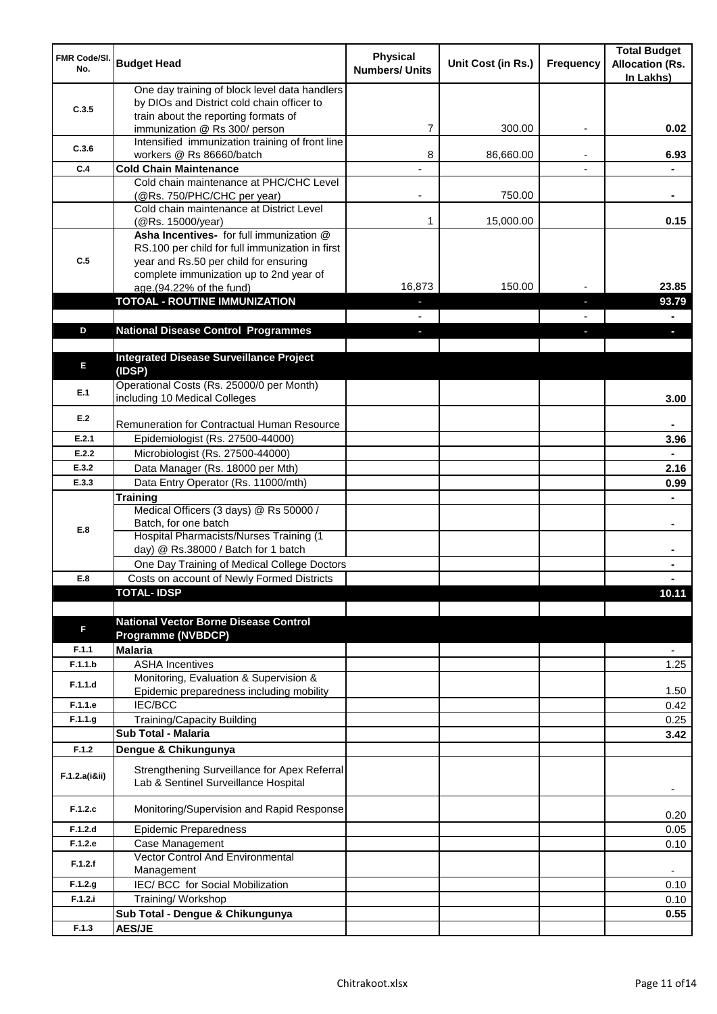| FMR Code/SI.<br>No. | <b>Budget Head</b>                                                                                                                   | <b>Physical</b><br><b>Numbers/ Units</b> | Unit Cost (in Rs.) | <b>Frequency</b> | <b>Total Budget</b><br><b>Allocation (Rs.</b><br>In Lakhs) |
|---------------------|--------------------------------------------------------------------------------------------------------------------------------------|------------------------------------------|--------------------|------------------|------------------------------------------------------------|
| C.3.5               | One day training of block level data handlers<br>by DIOs and District cold chain officer to<br>train about the reporting formats of  |                                          |                    |                  |                                                            |
|                     | immunization @ Rs 300/ person                                                                                                        | 7                                        | 300.00             |                  | 0.02                                                       |
| C.3.6               | Intensified immunization training of front line<br>workers @ Rs 86660/batch                                                          | 8                                        | 86,660.00          |                  | 6.93                                                       |
| C.4                 | <b>Cold Chain Maintenance</b>                                                                                                        |                                          |                    | ٠                |                                                            |
|                     | Cold chain maintenance at PHC/CHC Level                                                                                              |                                          |                    |                  |                                                            |
|                     | (@Rs. 750/PHC/CHC per year)                                                                                                          |                                          | 750.00             |                  |                                                            |
|                     | Cold chain maintenance at District Level<br>(@Rs. 15000/year)                                                                        | 1                                        | 15,000.00          |                  | 0.15                                                       |
| C.5                 | Asha Incentives- for full immunization @<br>RS.100 per child for full immunization in first<br>year and Rs.50 per child for ensuring |                                          |                    |                  |                                                            |
|                     | complete immunization up to 2nd year of                                                                                              | 16,873                                   | 150.00             |                  | 23.85                                                      |
|                     | age.(94.22% of the fund)<br><b>TOTOAL - ROUTINE IMMUNIZATION</b>                                                                     |                                          |                    |                  | 93.79                                                      |
|                     |                                                                                                                                      |                                          |                    |                  |                                                            |
| D                   | <b>National Disease Control Programmes</b>                                                                                           |                                          |                    |                  |                                                            |
|                     |                                                                                                                                      |                                          |                    |                  |                                                            |
| E                   | <b>Integrated Disease Surveillance Project</b><br>(IDSP)                                                                             |                                          |                    |                  |                                                            |
| E.1                 | Operational Costs (Rs. 25000/0 per Month)<br>including 10 Medical Colleges                                                           |                                          |                    |                  | 3.00                                                       |
| E.2                 | Remuneration for Contractual Human Resource                                                                                          |                                          |                    |                  |                                                            |
| E.2.1               | Epidemiologist (Rs. 27500-44000)                                                                                                     |                                          |                    |                  | 3.96                                                       |
| E.2.2               | Microbiologist (Rs. 27500-44000)                                                                                                     |                                          |                    |                  |                                                            |
| E.3.2               | Data Manager (Rs. 18000 per Mth)                                                                                                     |                                          |                    |                  | 2.16                                                       |
| E.3.3               | Data Entry Operator (Rs. 11000/mth)                                                                                                  |                                          |                    |                  | 0.99                                                       |
|                     | <b>Training</b><br>Medical Officers (3 days) @ Rs 50000 /                                                                            |                                          |                    |                  |                                                            |
| E.8                 | Batch, for one batch                                                                                                                 |                                          |                    |                  | $\blacksquare$                                             |
|                     | <b>Hospital Pharmacists/Nurses Training (1)</b><br>day) @ Rs.38000 / Batch for 1 batch                                               |                                          |                    |                  |                                                            |
|                     | One Day Training of Medical College Doctors                                                                                          |                                          |                    |                  |                                                            |
| E.8                 | Costs on account of Newly Formed Districts                                                                                           |                                          |                    |                  |                                                            |
|                     | <b>TOTAL-IDSP</b>                                                                                                                    |                                          |                    |                  | 10.11                                                      |
| F                   | <b>National Vector Borne Disease Control</b><br>Programme (NVBDCP)                                                                   |                                          |                    |                  |                                                            |
| F.1.1               | <b>Malaria</b>                                                                                                                       |                                          |                    |                  | ٠                                                          |
| F.1.1.b             | <b>ASHA Incentives</b>                                                                                                               |                                          |                    |                  | 1.25                                                       |
| F.1.1.d             | Monitoring, Evaluation & Supervision &<br>Epidemic preparedness including mobility                                                   |                                          |                    |                  | 1.50                                                       |
| F.1.1.e             | IEC/BCC                                                                                                                              |                                          |                    |                  | 0.42                                                       |
| F.1.1.g             | <b>Training/Capacity Building</b><br>Sub Total - Malaria                                                                             |                                          |                    |                  | 0.25                                                       |
| F.1.2               | Dengue & Chikungunya                                                                                                                 |                                          |                    |                  | 3.42                                                       |
|                     |                                                                                                                                      |                                          |                    |                  |                                                            |
| F.1.2.a(iⅈ)         | Strengthening Surveillance for Apex Referral<br>Lab & Sentinel Surveillance Hospital                                                 |                                          |                    |                  |                                                            |
| F.1.2.c             | Monitoring/Supervision and Rapid Response                                                                                            |                                          |                    |                  | 0.20                                                       |
| F.1.2.d             | <b>Epidemic Preparedness</b>                                                                                                         |                                          |                    |                  | 0.05                                                       |
| F.1.2.e<br>F.1.2.f  | Case Management<br>Vector Control And Environmental                                                                                  |                                          |                    |                  | 0.10                                                       |
| F.1.2.g             | Management<br>IEC/BCC for Social Mobilization                                                                                        |                                          |                    |                  | $\overline{\phantom{a}}$<br>0.10                           |
| F.1.2.i             | Training/Workshop                                                                                                                    |                                          |                    |                  | 0.10                                                       |
|                     | Sub Total - Dengue & Chikungunya                                                                                                     |                                          |                    |                  | 0.55                                                       |
| F.1.3               | <b>AES/JE</b>                                                                                                                        |                                          |                    |                  |                                                            |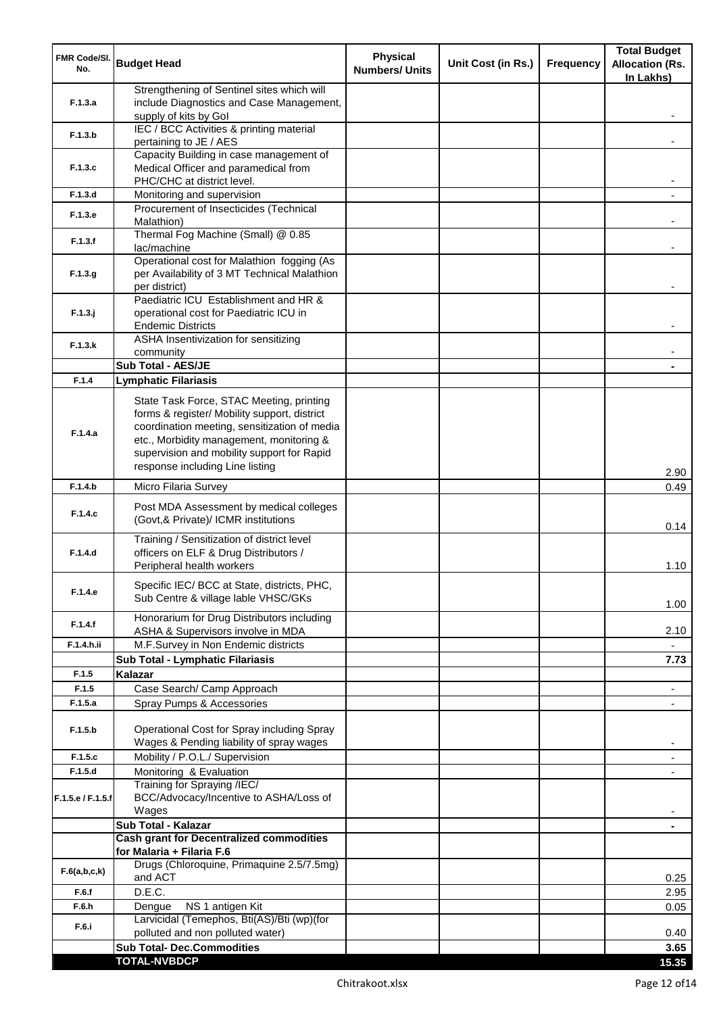| <b>FMR Code/SI.</b><br>No. | <b>Budget Head</b>                                                                                                                                                                                                                                                    | <b>Physical</b><br><b>Numbers/ Units</b> | Unit Cost (in Rs.) | <b>Frequency</b> | <b>Total Budget</b><br><b>Allocation (Rs.</b><br>In Lakhs) |
|----------------------------|-----------------------------------------------------------------------------------------------------------------------------------------------------------------------------------------------------------------------------------------------------------------------|------------------------------------------|--------------------|------------------|------------------------------------------------------------|
| F.1.3.a                    | Strengthening of Sentinel sites which will<br>include Diagnostics and Case Management,<br>supply of kits by Gol                                                                                                                                                       |                                          |                    |                  |                                                            |
| F.1.3.b                    | IEC / BCC Activities & printing material<br>pertaining to JE / AES                                                                                                                                                                                                    |                                          |                    |                  |                                                            |
| F.1.3.c                    | Capacity Building in case management of<br>Medical Officer and paramedical from                                                                                                                                                                                       |                                          |                    |                  |                                                            |
|                            | PHC/CHC at district level.                                                                                                                                                                                                                                            |                                          |                    |                  |                                                            |
| F.1.3.d                    | Monitoring and supervision<br>Procurement of Insecticides (Technical                                                                                                                                                                                                  |                                          |                    |                  |                                                            |
| F.1.3.e                    | Malathion)<br>Thermal Fog Machine (Small) @ 0.85                                                                                                                                                                                                                      |                                          |                    |                  |                                                            |
| F.1.3.f                    | lac/machine                                                                                                                                                                                                                                                           |                                          |                    |                  |                                                            |
| F.1.3.g                    | Operational cost for Malathion fogging (As<br>per Availability of 3 MT Technical Malathion<br>per district)                                                                                                                                                           |                                          |                    |                  |                                                            |
| $F.1.3.$ j                 | Paediatric ICU Establishment and HR &<br>operational cost for Paediatric ICU in<br><b>Endemic Districts</b>                                                                                                                                                           |                                          |                    |                  |                                                            |
| F.1.3.k                    | ASHA Insentivization for sensitizing<br>community                                                                                                                                                                                                                     |                                          |                    |                  |                                                            |
|                            | Sub Total - AES/JE                                                                                                                                                                                                                                                    |                                          |                    |                  |                                                            |
| F.1.4                      | <b>Lymphatic Filariasis</b>                                                                                                                                                                                                                                           |                                          |                    |                  |                                                            |
| F.1.4.a                    | State Task Force, STAC Meeting, printing<br>forms & register/ Mobility support, district<br>coordination meeting, sensitization of media<br>etc., Morbidity management, monitoring &<br>supervision and mobility support for Rapid<br>response including Line listing |                                          |                    |                  | 2.90                                                       |
| F.1.4.b                    | Micro Filaria Survey                                                                                                                                                                                                                                                  |                                          |                    |                  | 0.49                                                       |
| F.1.4.c                    | Post MDA Assessment by medical colleges<br>(Govt,& Private)/ ICMR institutions                                                                                                                                                                                        |                                          |                    |                  | 0.14                                                       |
| F.1.4.d                    | Training / Sensitization of district level<br>officers on ELF & Drug Distributors /<br>Peripheral health workers                                                                                                                                                      |                                          |                    |                  | 1.10                                                       |
| F.1.4.e                    | Specific IEC/ BCC at State, districts, PHC,<br>Sub Centre & village lable VHSC/GKs                                                                                                                                                                                    |                                          |                    |                  | 1.00                                                       |
| F.1.4.f                    | Honorarium for Drug Distributors including<br>ASHA & Supervisors involve in MDA                                                                                                                                                                                       |                                          |                    |                  | 2.10                                                       |
| F.1.4.h.ii                 | M.F.Survey in Non Endemic districts                                                                                                                                                                                                                                   |                                          |                    |                  |                                                            |
|                            | Sub Total - Lymphatic Filariasis                                                                                                                                                                                                                                      |                                          |                    |                  | 7.73                                                       |
| F.1.5                      | Kalazar                                                                                                                                                                                                                                                               |                                          |                    |                  |                                                            |
| F.1.5                      | Case Search/ Camp Approach                                                                                                                                                                                                                                            |                                          |                    |                  | $\overline{\phantom{a}}$                                   |
| F.1.5.a                    | Spray Pumps & Accessories                                                                                                                                                                                                                                             |                                          |                    |                  | $\blacksquare$                                             |
| F.1.5.b                    | Operational Cost for Spray including Spray<br>Wages & Pending liability of spray wages                                                                                                                                                                                |                                          |                    |                  |                                                            |
| F.1.5.c                    | Mobility / P.O.L./ Supervision                                                                                                                                                                                                                                        |                                          |                    |                  |                                                            |
| F.1.5.d                    | Monitoring & Evaluation<br>Training for Spraying /IEC/                                                                                                                                                                                                                |                                          |                    |                  |                                                            |
| F.1.5.e / F.1.5.f          | BCC/Advocacy/Incentive to ASHA/Loss of<br>Wages                                                                                                                                                                                                                       |                                          |                    |                  |                                                            |
|                            | Sub Total - Kalazar                                                                                                                                                                                                                                                   |                                          |                    |                  | $\blacksquare$                                             |
|                            | <b>Cash grant for Decentralized commodities</b><br>for Malaria + Filaria F.6                                                                                                                                                                                          |                                          |                    |                  |                                                            |
| F.6(a,b,c,k)               | Drugs (Chloroquine, Primaquine 2.5/7.5mg)<br>and ACT                                                                                                                                                                                                                  |                                          |                    |                  | 0.25                                                       |
| F.6.f                      | D.E.C.                                                                                                                                                                                                                                                                |                                          |                    |                  | 2.95                                                       |
| F.6.h                      | NS 1 antigen Kit<br>Dengue                                                                                                                                                                                                                                            |                                          |                    |                  | 0.05                                                       |
| F.6.i                      | Larvicidal (Temephos, Bti(AS)/Bti (wp)(for<br>polluted and non polluted water)                                                                                                                                                                                        |                                          |                    |                  | 0.40                                                       |
|                            | <b>Sub Total- Dec.Commodities</b>                                                                                                                                                                                                                                     |                                          |                    |                  | 3.65                                                       |
|                            | <b>TOTAL-NVBDCP</b>                                                                                                                                                                                                                                                   |                                          |                    |                  | 15.35                                                      |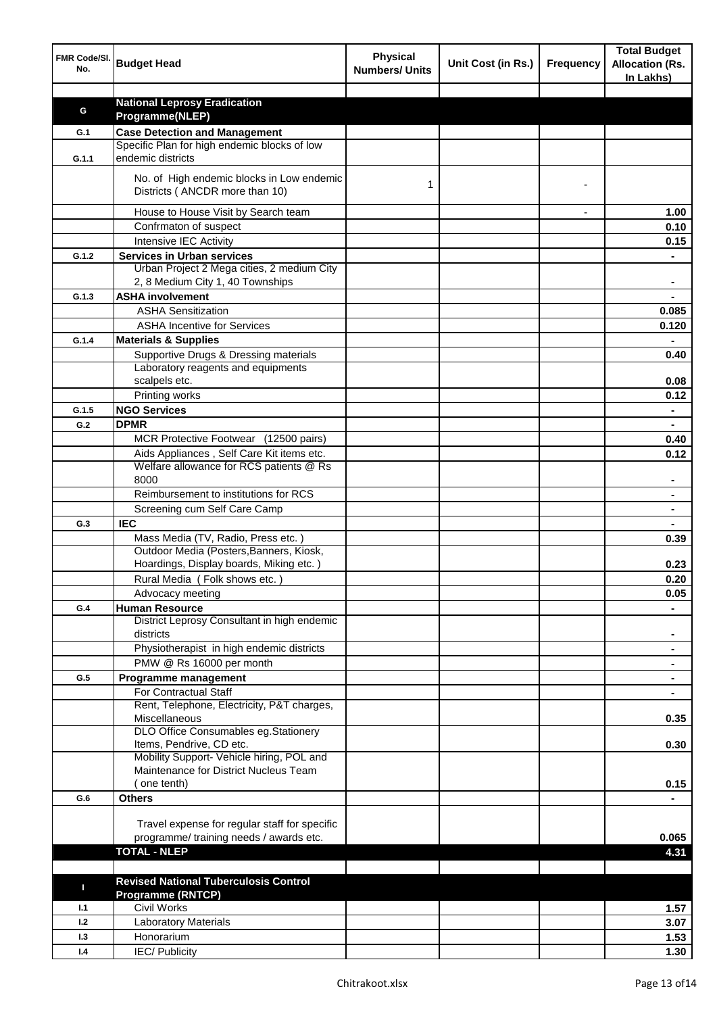| FMR Code/SI.<br>No. | <b>Budget Head</b>                                                                   | <b>Physical</b><br><b>Numbers/ Units</b> | Unit Cost (in Rs.) | <b>Frequency</b> | <b>Total Budget</b><br><b>Allocation (Rs.</b><br>In Lakhs) |
|---------------------|--------------------------------------------------------------------------------------|------------------------------------------|--------------------|------------------|------------------------------------------------------------|
|                     |                                                                                      |                                          |                    |                  |                                                            |
| G                   | <b>National Leprosy Eradication</b>                                                  |                                          |                    |                  |                                                            |
|                     | Programme(NLEP)                                                                      |                                          |                    |                  |                                                            |
| G.1                 | <b>Case Detection and Management</b><br>Specific Plan for high endemic blocks of low |                                          |                    |                  |                                                            |
| G.1.1               | endemic districts                                                                    |                                          |                    |                  |                                                            |
|                     | No. of High endemic blocks in Low endemic<br>Districts (ANCDR more than 10)          | 1                                        |                    |                  |                                                            |
|                     | House to House Visit by Search team                                                  |                                          |                    |                  | 1.00                                                       |
|                     | Confrmaton of suspect                                                                |                                          |                    |                  | 0.10                                                       |
|                     | Intensive IEC Activity                                                               |                                          |                    |                  | 0.15                                                       |
| G.1.2               | <b>Services in Urban services</b>                                                    |                                          |                    |                  |                                                            |
|                     | Urban Project 2 Mega cities, 2 medium City                                           |                                          |                    |                  |                                                            |
|                     | 2, 8 Medium City 1, 40 Townships                                                     |                                          |                    |                  |                                                            |
| G.1.3               | <b>ASHA involvement</b>                                                              |                                          |                    |                  |                                                            |
|                     | <b>ASHA Sensitization</b>                                                            |                                          |                    |                  | 0.085                                                      |
|                     | <b>ASHA Incentive for Services</b>                                                   |                                          |                    |                  | 0.120                                                      |
| G.1.4               | <b>Materials &amp; Supplies</b>                                                      |                                          |                    |                  |                                                            |
|                     | Supportive Drugs & Dressing materials                                                |                                          |                    |                  | 0.40                                                       |
|                     | Laboratory reagents and equipments                                                   |                                          |                    |                  |                                                            |
|                     | scalpels etc.                                                                        |                                          |                    |                  | 0.08                                                       |
|                     | Printing works                                                                       |                                          |                    |                  | 0.12                                                       |
| G.1.5               | <b>NGO Services</b>                                                                  |                                          |                    |                  | $\blacksquare$                                             |
| G.2                 | <b>DPMR</b>                                                                          |                                          |                    |                  | $\blacksquare$                                             |
|                     | MCR Protective Footwear (12500 pairs)                                                |                                          |                    |                  | 0.40                                                       |
|                     | Aids Appliances, Self Care Kit items etc.                                            |                                          |                    |                  | 0.12                                                       |
|                     | Welfare allowance for RCS patients @ Rs                                              |                                          |                    |                  |                                                            |
|                     | 8000                                                                                 |                                          |                    |                  |                                                            |
|                     | Reimbursement to institutions for RCS                                                |                                          |                    |                  |                                                            |
|                     | Screening cum Self Care Camp                                                         |                                          |                    |                  |                                                            |
| G.3                 | <b>IEC</b>                                                                           |                                          |                    |                  |                                                            |
|                     | Mass Media (TV, Radio, Press etc.)                                                   |                                          |                    |                  | 0.39                                                       |
|                     | Outdoor Media (Posters, Banners, Kiosk,                                              |                                          |                    |                  |                                                            |
|                     | Hoardings, Display boards, Miking etc.)<br>Rural Media (Folk shows etc.)             |                                          |                    |                  | 0.23<br>0.20                                               |
|                     | Advocacy meeting                                                                     |                                          |                    |                  | 0.05                                                       |
| G.4                 | <b>Human Resource</b>                                                                |                                          |                    |                  |                                                            |
|                     | District Leprosy Consultant in high endemic                                          |                                          |                    |                  |                                                            |
|                     | districts                                                                            |                                          |                    |                  | $\blacksquare$                                             |
|                     | Physiotherapist in high endemic districts                                            |                                          |                    |                  | $\blacksquare$                                             |
|                     | PMW @ Rs 16000 per month                                                             |                                          |                    |                  | $\blacksquare$                                             |
| G.5                 | Programme management                                                                 |                                          |                    |                  | $\blacksquare$                                             |
|                     | For Contractual Staff                                                                |                                          |                    |                  |                                                            |
|                     | Rent, Telephone, Electricity, P&T charges,                                           |                                          |                    |                  |                                                            |
|                     | Miscellaneous                                                                        |                                          |                    |                  | 0.35                                                       |
|                     | DLO Office Consumables eg.Stationery<br>Items, Pendrive, CD etc.                     |                                          |                    |                  | 0.30                                                       |
|                     | Mobility Support- Vehicle hiring, POL and                                            |                                          |                    |                  |                                                            |
|                     | Maintenance for District Nucleus Team                                                |                                          |                    |                  |                                                            |
|                     | (one tenth)                                                                          |                                          |                    |                  | 0.15                                                       |
| G.6                 | <b>Others</b>                                                                        |                                          |                    |                  |                                                            |
|                     |                                                                                      |                                          |                    |                  |                                                            |
|                     | Travel expense for regular staff for specific                                        |                                          |                    |                  |                                                            |
|                     | programme/ training needs / awards etc.                                              |                                          |                    |                  | 0.065                                                      |
|                     | <b>TOTAL - NLEP</b>                                                                  |                                          |                    |                  | 4.31                                                       |
|                     |                                                                                      |                                          |                    |                  |                                                            |
| п                   | <b>Revised National Tuberculosis Control</b>                                         |                                          |                    |                  |                                                            |
|                     | <b>Programme (RNTCP)</b>                                                             |                                          |                    |                  |                                                            |
| 1.1                 | <b>Civil Works</b>                                                                   |                                          |                    |                  | 1.57                                                       |
| 1.2                 | <b>Laboratory Materials</b>                                                          |                                          |                    |                  | 3.07                                                       |
| 1.3                 | Honorarium                                                                           |                                          |                    |                  | 1.53                                                       |
| 1.4                 | IEC/Publicity                                                                        |                                          |                    |                  | 1.30                                                       |